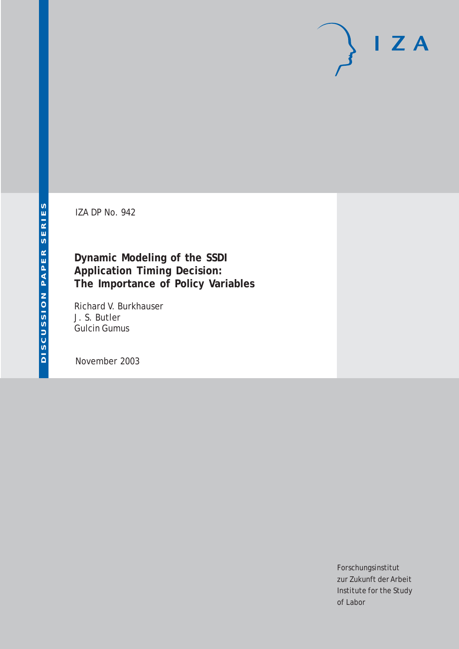# $I Z A$

IZA DP No. 942

## **Dynamic Modeling of the SSDI Application Timing Decision: The Importance of Policy Variables**

Richard V. Burkhauser J. S. Butler Gulcin Gumus

November 2003

Forschungsinstitut zur Zukunft der Arbeit Institute for the Study of Labor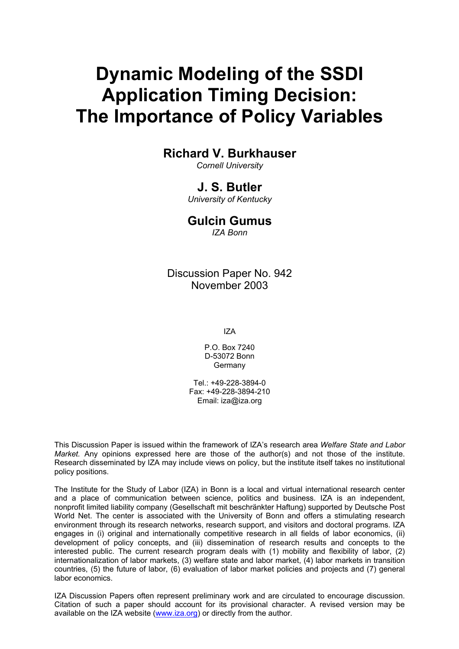# **Dynamic Modeling of the SSDI Application Timing Decision: The Importance of Policy Variables**

## **Richard V. Burkhauser**

*Cornell University* 

## **J. S. Butler**

*University of Kentucky* 

## **Gulcin Gumus**

*IZA Bonn* 

Discussion Paper No. 942 November 2003

IZA

P.O. Box 7240 D-53072 Bonn Germany

Tel.: +49-228-3894-0 Fax: +49-228-3894-210 Email: [iza@iza.org](mailto:iza@iza.org)

This Discussion Paper is issued within the framework of IZA's research area *Welfare State and Labor Market.* Any opinions expressed here are those of the author(s) and not those of the institute. Research disseminated by IZA may include views on policy, but the institute itself takes no institutional policy positions.

The Institute for the Study of Labor (IZA) in Bonn is a local and virtual international research center and a place of communication between science, politics and business. IZA is an independent, nonprofit limited liability company (Gesellschaft mit beschränkter Haftung) supported by Deutsche Post World Net. The center is associated with the University of Bonn and offers a stimulating research environment through its research networks, research support, and visitors and doctoral programs. IZA engages in (i) original and internationally competitive research in all fields of labor economics, (ii) development of policy concepts, and (iii) dissemination of research results and concepts to the interested public. The current research program deals with (1) mobility and flexibility of labor, (2) internationalization of labor markets, (3) welfare state and labor market, (4) labor markets in transition countries, (5) the future of labor, (6) evaluation of labor market policies and projects and (7) general labor economics.

IZA Discussion Papers often represent preliminary work and are circulated to encourage discussion. Citation of such a paper should account for its provisional character. A revised version may be available on the IZA website ([www.iza.org](http://www.iza.org/)) or directly from the author.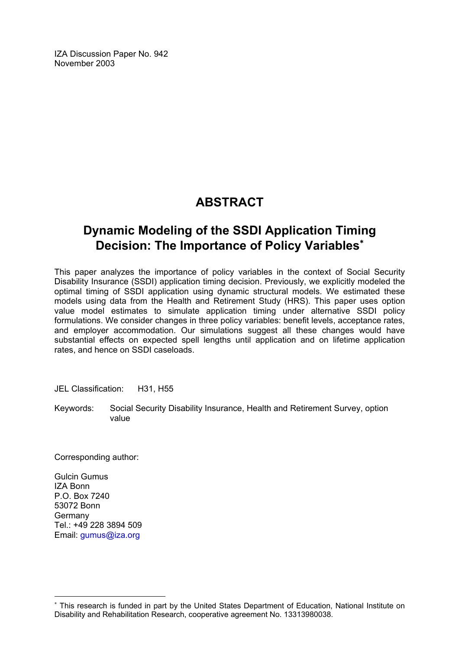IZA Discussion Paper No. 942 November 2003

## **ABSTRACT**

## **Dynamic Modeling of the SSDI Application Timing Decision: The Importance of Policy Variables**[∗](#page-2-0)

This paper analyzes the importance of policy variables in the context of Social Security Disability Insurance (SSDI) application timing decision. Previously, we explicitly modeled the optimal timing of SSDI application using dynamic structural models. We estimated these models using data from the Health and Retirement Study (HRS). This paper uses option value model estimates to simulate application timing under alternative SSDI policy formulations. We consider changes in three policy variables: benefit levels, acceptance rates, and employer accommodation. Our simulations suggest all these changes would have substantial effects on expected spell lengths until application and on lifetime application rates, and hence on SSDI caseloads.

JEL Classification: H31, H55

Keywords: Social Security Disability Insurance, Health and Retirement Survey, option value

Corresponding author:

Gulcin Gumus IZA Bonn P.O. Box 7240 53072 Bonn Germany Tel.: +49 228 3894 509 Email: [gumus@iza.org](mailto:gumus@iza.org)

 $\overline{a}$ 

<span id="page-2-0"></span><sup>∗</sup> This research is funded in part by the United States Department of Education, National Institute on Disability and Rehabilitation Research, cooperative agreement No. 13313980038.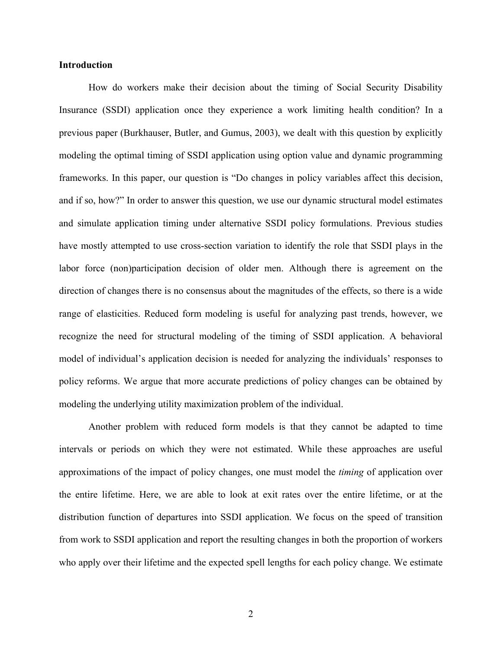#### **Introduction**

How do workers make their decision about the timing of Social Security Disability Insurance (SSDI) application once they experience a work limiting health condition? In a previous paper (Burkhauser, Butler, and Gumus, 2003), we dealt with this question by explicitly modeling the optimal timing of SSDI application using option value and dynamic programming frameworks. In this paper, our question is "Do changes in policy variables affect this decision, and if so, how?" In order to answer this question, we use our dynamic structural model estimates and simulate application timing under alternative SSDI policy formulations. Previous studies have mostly attempted to use cross-section variation to identify the role that SSDI plays in the labor force (non)participation decision of older men. Although there is agreement on the direction of changes there is no consensus about the magnitudes of the effects, so there is a wide range of elasticities. Reduced form modeling is useful for analyzing past trends, however, we recognize the need for structural modeling of the timing of SSDI application. A behavioral model of individual's application decision is needed for analyzing the individuals' responses to policy reforms. We argue that more accurate predictions of policy changes can be obtained by modeling the underlying utility maximization problem of the individual.

Another problem with reduced form models is that they cannot be adapted to time intervals or periods on which they were not estimated. While these approaches are useful approximations of the impact of policy changes, one must model the *timing* of application over the entire lifetime. Here, we are able to look at exit rates over the entire lifetime, or at the distribution function of departures into SSDI application. We focus on the speed of transition from work to SSDI application and report the resulting changes in both the proportion of workers who apply over their lifetime and the expected spell lengths for each policy change. We estimate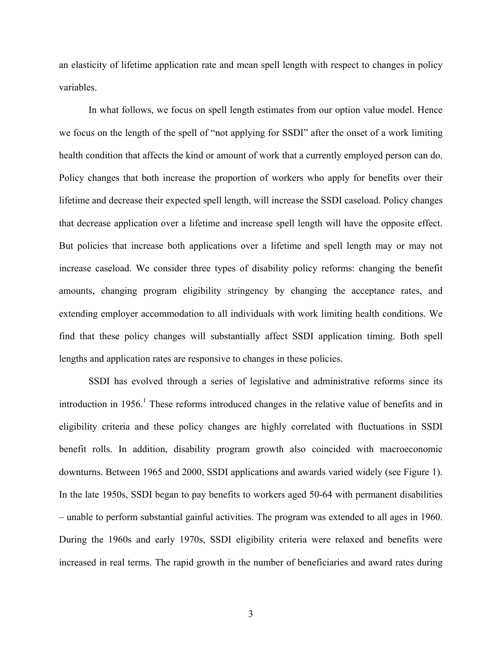an elasticity of lifetime application rate and mean spell length with respect to changes in policy variables.

In what follows, we focus on spell length estimates from our option value model. Hence we focus on the length of the spell of "not applying for SSDI" after the onset of a work limiting health condition that affects the kind or amount of work that a currently employed person can do. Policy changes that both increase the proportion of workers who apply for benefits over their lifetime and decrease their expected spell length, will increase the SSDI caseload. Policy changes that decrease application over a lifetime and increase spell length will have the opposite effect. But policies that increase both applications over a lifetime and spell length may or may not increase caseload. We consider three types of disability policy reforms: changing the benefit amounts, changing program eligibility stringency by changing the acceptance rates, and extending employer accommodation to all individuals with work limiting health conditions. We find that these policy changes will substantially affect SSDI application timing. Both spell lengths and application rates are responsive to changes in these policies.

SSDI has evolved through a series of legislative and administrative reforms since its introduction in  $1956$ .<sup>1</sup> These reforms introduced changes in the relative value of benefits and in eligibility criteria and these policy changes are highly correlated with fluctuations in SSDI benefit rolls. In addition, disability program growth also coincided with macroeconomic downturns. Between 1965 and 2000, SSDI applications and awards varied widely (see Figure 1). In the late 1950s, SSDI began to pay benefits to workers aged 50-64 with permanent disabilities – unable to perform substantial gainful activities. The program was extended to all ages in 1960. During the 1960s and early 1970s, SSDI eligibility criteria were relaxed and benefits were increased in real terms. The rapid growth in the number of beneficiaries and award rates during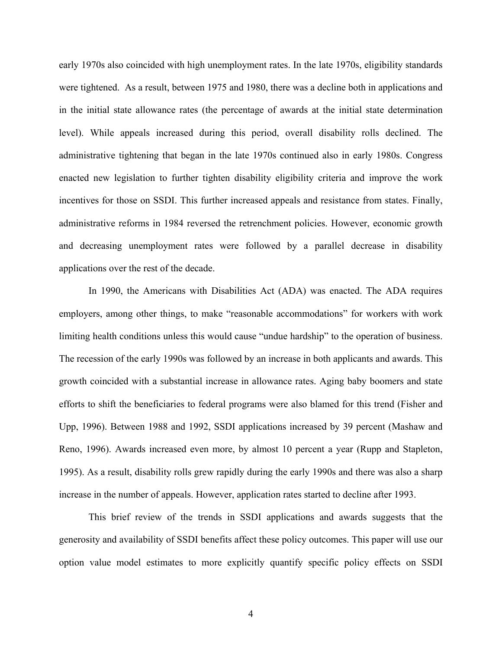early 1970s also coincided with high unemployment rates. In the late 1970s, eligibility standards were tightened. As a result, between 1975 and 1980, there was a decline both in applications and in the initial state allowance rates (the percentage of awards at the initial state determination level). While appeals increased during this period, overall disability rolls declined. The administrative tightening that began in the late 1970s continued also in early 1980s. Congress enacted new legislation to further tighten disability eligibility criteria and improve the work incentives for those on SSDI. This further increased appeals and resistance from states. Finally, administrative reforms in 1984 reversed the retrenchment policies. However, economic growth and decreasing unemployment rates were followed by a parallel decrease in disability applications over the rest of the decade.

In 1990, the Americans with Disabilities Act (ADA) was enacted. The ADA requires employers, among other things, to make "reasonable accommodations" for workers with work limiting health conditions unless this would cause "undue hardship" to the operation of business. The recession of the early 1990s was followed by an increase in both applicants and awards. This growth coincided with a substantial increase in allowance rates. Aging baby boomers and state efforts to shift the beneficiaries to federal programs were also blamed for this trend (Fisher and Upp, 1996). Between 1988 and 1992, SSDI applications increased by 39 percent (Mashaw and Reno, 1996). Awards increased even more, by almost 10 percent a year (Rupp and Stapleton, 1995). As a result, disability rolls grew rapidly during the early 1990s and there was also a sharp increase in the number of appeals. However, application rates started to decline after 1993.

This brief review of the trends in SSDI applications and awards suggests that the generosity and availability of SSDI benefits affect these policy outcomes. This paper will use our option value model estimates to more explicitly quantify specific policy effects on SSDI

4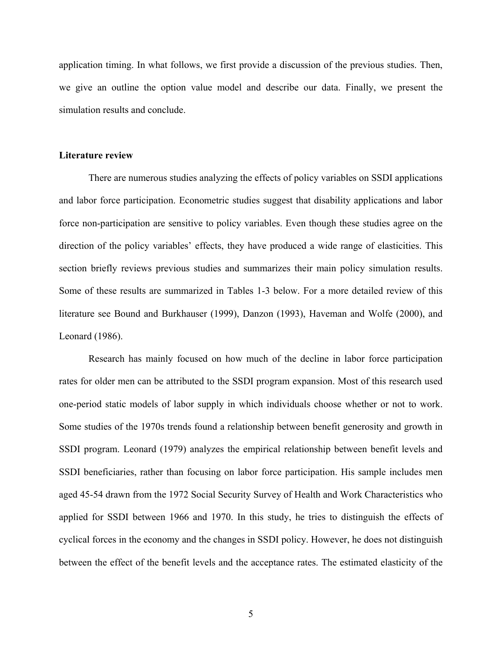application timing. In what follows, we first provide a discussion of the previous studies. Then, we give an outline the option value model and describe our data. Finally, we present the simulation results and conclude.

#### **Literature review**

 There are numerous studies analyzing the effects of policy variables on SSDI applications and labor force participation. Econometric studies suggest that disability applications and labor force non-participation are sensitive to policy variables. Even though these studies agree on the direction of the policy variables' effects, they have produced a wide range of elasticities. This section briefly reviews previous studies and summarizes their main policy simulation results. Some of these results are summarized in Tables 1-3 below. For a more detailed review of this literature see Bound and Burkhauser (1999), Danzon (1993), Haveman and Wolfe (2000), and Leonard (1986).

Research has mainly focused on how much of the decline in labor force participation rates for older men can be attributed to the SSDI program expansion. Most of this research used one-period static models of labor supply in which individuals choose whether or not to work. Some studies of the 1970s trends found a relationship between benefit generosity and growth in SSDI program. Leonard (1979) analyzes the empirical relationship between benefit levels and SSDI beneficiaries, rather than focusing on labor force participation. His sample includes men aged 45-54 drawn from the 1972 Social Security Survey of Health and Work Characteristics who applied for SSDI between 1966 and 1970. In this study, he tries to distinguish the effects of cyclical forces in the economy and the changes in SSDI policy. However, he does not distinguish between the effect of the benefit levels and the acceptance rates. The estimated elasticity of the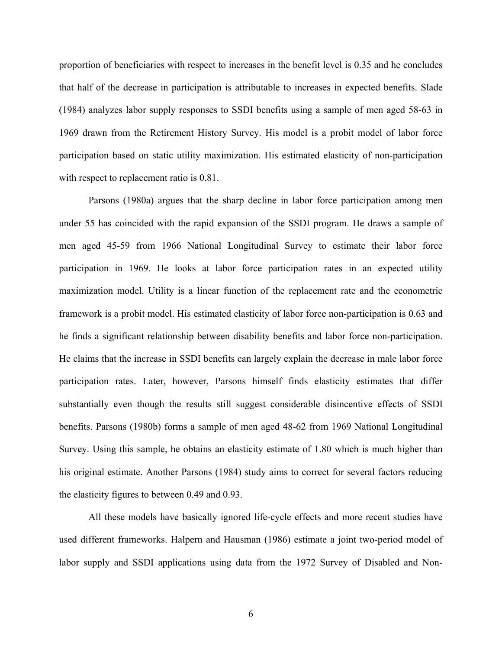proportion of beneficiaries with respect to increases in the benefit level is 0.35 and he concludes that half of the decrease in participation is attributable to increases in expected benefits. Slade (1984) analyzes labor supply responses to SSDI benefits using a sample of men aged 58-63 in 1969 drawn from the Retirement History Survey. His model is a probit model of labor force participation based on static utility maximization. His estimated elasticity of non-participation with respect to replacement ratio is  $0.81$ .

 Parsons (1980a) argues that the sharp decline in labor force participation among men under 55 has coincided with the rapid expansion of the SSDI program. He draws a sample of men aged 45-59 from 1966 National Longitudinal Survey to estimate their labor force participation in 1969. He looks at labor force participation rates in an expected utility maximization model. Utility is a linear function of the replacement rate and the econometric framework is a probit model. His estimated elasticity of labor force non-participation is 0.63 and he finds a significant relationship between disability benefits and labor force non-participation. He claims that the increase in SSDI benefits can largely explain the decrease in male labor force participation rates. Later, however, Parsons himself finds elasticity estimates that differ substantially even though the results still suggest considerable disincentive effects of SSDI benefits. Parsons (1980b) forms a sample of men aged 48-62 from 1969 National Longitudinal Survey. Using this sample, he obtains an elasticity estimate of 1.80 which is much higher than his original estimate. Another Parsons (1984) study aims to correct for several factors reducing the elasticity figures to between 0.49 and 0.93.

 All these models have basically ignored life-cycle effects and more recent studies have used different frameworks. Halpern and Hausman (1986) estimate a joint two-period model of labor supply and SSDI applications using data from the 1972 Survey of Disabled and Non-

6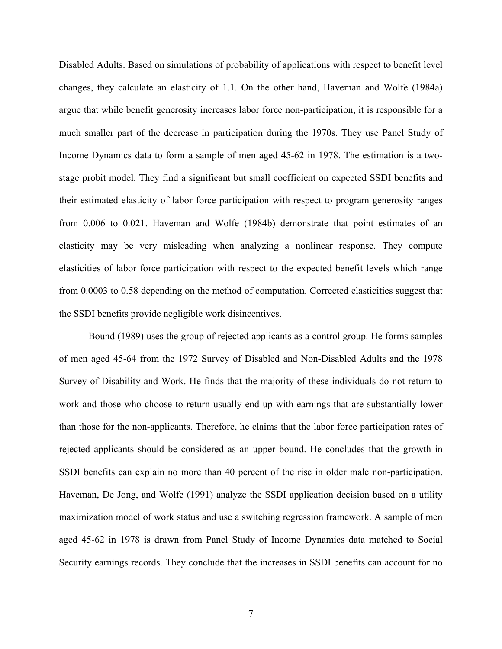Disabled Adults. Based on simulations of probability of applications with respect to benefit level changes, they calculate an elasticity of 1.1. On the other hand, Haveman and Wolfe (1984a) argue that while benefit generosity increases labor force non-participation, it is responsible for a much smaller part of the decrease in participation during the 1970s. They use Panel Study of Income Dynamics data to form a sample of men aged 45-62 in 1978. The estimation is a twostage probit model. They find a significant but small coefficient on expected SSDI benefits and their estimated elasticity of labor force participation with respect to program generosity ranges from 0.006 to 0.021. Haveman and Wolfe (1984b) demonstrate that point estimates of an elasticity may be very misleading when analyzing a nonlinear response. They compute elasticities of labor force participation with respect to the expected benefit levels which range from 0.0003 to 0.58 depending on the method of computation. Corrected elasticities suggest that the SSDI benefits provide negligible work disincentives.

 Bound (1989) uses the group of rejected applicants as a control group. He forms samples of men aged 45-64 from the 1972 Survey of Disabled and Non-Disabled Adults and the 1978 Survey of Disability and Work. He finds that the majority of these individuals do not return to work and those who choose to return usually end up with earnings that are substantially lower than those for the non-applicants. Therefore, he claims that the labor force participation rates of rejected applicants should be considered as an upper bound. He concludes that the growth in SSDI benefits can explain no more than 40 percent of the rise in older male non-participation. Haveman, De Jong, and Wolfe (1991) analyze the SSDI application decision based on a utility maximization model of work status and use a switching regression framework. A sample of men aged 45-62 in 1978 is drawn from Panel Study of Income Dynamics data matched to Social Security earnings records. They conclude that the increases in SSDI benefits can account for no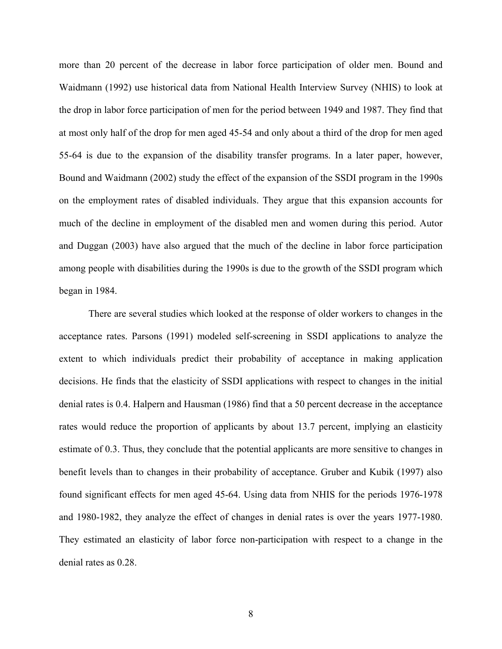more than 20 percent of the decrease in labor force participation of older men. Bound and Waidmann (1992) use historical data from National Health Interview Survey (NHIS) to look at the drop in labor force participation of men for the period between 1949 and 1987. They find that at most only half of the drop for men aged 45-54 and only about a third of the drop for men aged 55-64 is due to the expansion of the disability transfer programs. In a later paper, however, Bound and Waidmann (2002) study the effect of the expansion of the SSDI program in the 1990s on the employment rates of disabled individuals. They argue that this expansion accounts for much of the decline in employment of the disabled men and women during this period. Autor and Duggan (2003) have also argued that the much of the decline in labor force participation among people with disabilities during the 1990s is due to the growth of the SSDI program which began in 1984.

There are several studies which looked at the response of older workers to changes in the acceptance rates. Parsons (1991) modeled self-screening in SSDI applications to analyze the extent to which individuals predict their probability of acceptance in making application decisions. He finds that the elasticity of SSDI applications with respect to changes in the initial denial rates is 0.4. Halpern and Hausman (1986) find that a 50 percent decrease in the acceptance rates would reduce the proportion of applicants by about 13.7 percent, implying an elasticity estimate of 0.3. Thus, they conclude that the potential applicants are more sensitive to changes in benefit levels than to changes in their probability of acceptance. Gruber and Kubik (1997) also found significant effects for men aged 45-64. Using data from NHIS for the periods 1976-1978 and 1980-1982, they analyze the effect of changes in denial rates is over the years 1977-1980. They estimated an elasticity of labor force non-participation with respect to a change in the denial rates as 0.28.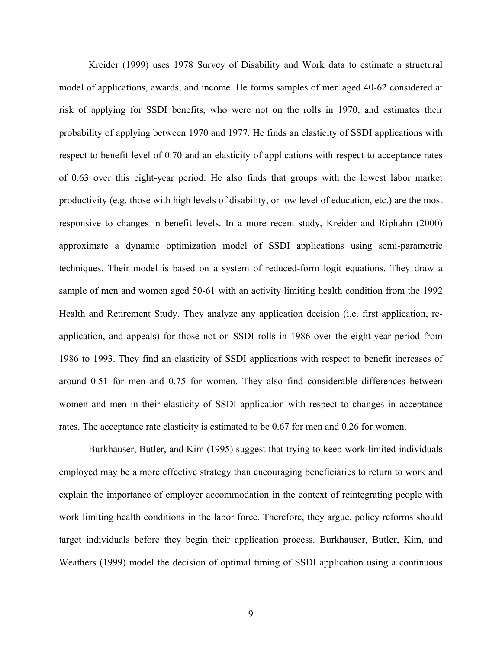Kreider (1999) uses 1978 Survey of Disability and Work data to estimate a structural model of applications, awards, and income. He forms samples of men aged 40-62 considered at risk of applying for SSDI benefits, who were not on the rolls in 1970, and estimates their probability of applying between 1970 and 1977. He finds an elasticity of SSDI applications with respect to benefit level of 0.70 and an elasticity of applications with respect to acceptance rates of 0.63 over this eight-year period. He also finds that groups with the lowest labor market productivity (e.g. those with high levels of disability, or low level of education, etc.) are the most responsive to changes in benefit levels. In a more recent study, Kreider and Riphahn (2000) approximate a dynamic optimization model of SSDI applications using semi-parametric techniques. Their model is based on a system of reduced-form logit equations. They draw a sample of men and women aged 50-61 with an activity limiting health condition from the 1992 Health and Retirement Study. They analyze any application decision (i.e. first application, reapplication, and appeals) for those not on SSDI rolls in 1986 over the eight-year period from 1986 to 1993. They find an elasticity of SSDI applications with respect to benefit increases of around 0.51 for men and 0.75 for women. They also find considerable differences between women and men in their elasticity of SSDI application with respect to changes in acceptance rates. The acceptance rate elasticity is estimated to be 0.67 for men and 0.26 for women.

 Burkhauser, Butler, and Kim (1995) suggest that trying to keep work limited individuals employed may be a more effective strategy than encouraging beneficiaries to return to work and explain the importance of employer accommodation in the context of reintegrating people with work limiting health conditions in the labor force. Therefore, they argue, policy reforms should target individuals before they begin their application process. Burkhauser, Butler, Kim, and Weathers (1999) model the decision of optimal timing of SSDI application using a continuous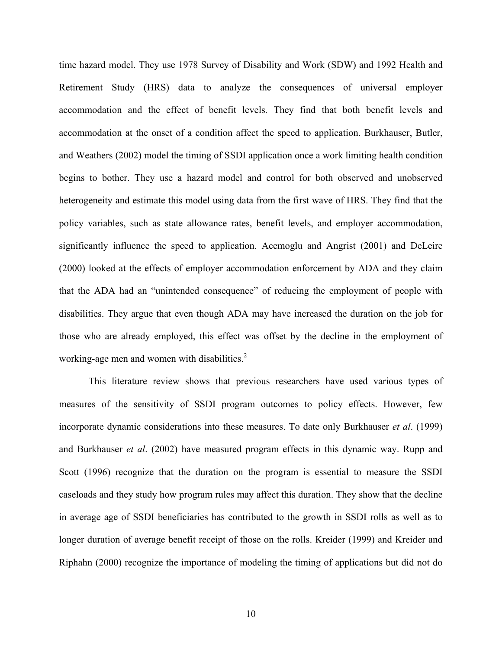time hazard model. They use 1978 Survey of Disability and Work (SDW) and 1992 Health and Retirement Study (HRS) data to analyze the consequences of universal employer accommodation and the effect of benefit levels. They find that both benefit levels and accommodation at the onset of a condition affect the speed to application. Burkhauser, Butler, and Weathers (2002) model the timing of SSDI application once a work limiting health condition begins to bother. They use a hazard model and control for both observed and unobserved heterogeneity and estimate this model using data from the first wave of HRS. They find that the policy variables, such as state allowance rates, benefit levels, and employer accommodation, significantly influence the speed to application. Acemoglu and Angrist (2001) and DeLeire (2000) looked at the effects of employer accommodation enforcement by ADA and they claim that the ADA had an "unintended consequence" of reducing the employment of people with disabilities. They argue that even though ADA may have increased the duration on the job for those who are already employed, this effect was offset by the decline in the employment of working-age men and women with disabilities.<sup>2</sup>

This literature review shows that previous researchers have used various types of measures of the sensitivity of SSDI program outcomes to policy effects. However, few incorporate dynamic considerations into these measures. To date only Burkhauser *et al*. (1999) and Burkhauser *et al*. (2002) have measured program effects in this dynamic way. Rupp and Scott (1996) recognize that the duration on the program is essential to measure the SSDI caseloads and they study how program rules may affect this duration. They show that the decline in average age of SSDI beneficiaries has contributed to the growth in SSDI rolls as well as to longer duration of average benefit receipt of those on the rolls. Kreider (1999) and Kreider and Riphahn (2000) recognize the importance of modeling the timing of applications but did not do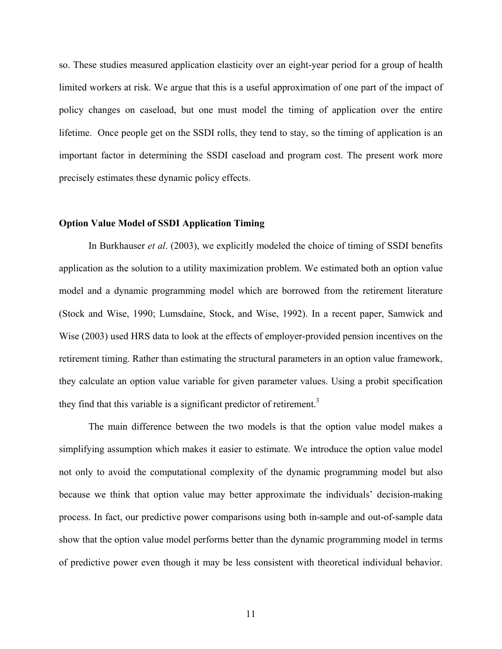so. These studies measured application elasticity over an eight-year period for a group of health limited workers at risk. We argue that this is a useful approximation of one part of the impact of policy changes on caseload, but one must model the timing of application over the entire lifetime. Once people get on the SSDI rolls, they tend to stay, so the timing of application is an important factor in determining the SSDI caseload and program cost. The present work more precisely estimates these dynamic policy effects.

#### **Option Value Model of SSDI Application Timing**

In Burkhauser *et al*. (2003), we explicitly modeled the choice of timing of SSDI benefits application as the solution to a utility maximization problem. We estimated both an option value model and a dynamic programming model which are borrowed from the retirement literature (Stock and Wise, 1990; Lumsdaine, Stock, and Wise, 1992). In a recent paper, Samwick and Wise (2003) used HRS data to look at the effects of employer-provided pension incentives on the retirement timing. Rather than estimating the structural parameters in an option value framework, they calculate an option value variable for given parameter values. Using a probit specification they find that this variable is a significant predictor of retirement.<sup>3</sup>

The main difference between the two models is that the option value model makes a simplifying assumption which makes it easier to estimate. We introduce the option value model not only to avoid the computational complexity of the dynamic programming model but also because we think that option value may better approximate the individuals' decision-making process. In fact, our predictive power comparisons using both in-sample and out-of-sample data show that the option value model performs better than the dynamic programming model in terms of predictive power even though it may be less consistent with theoretical individual behavior.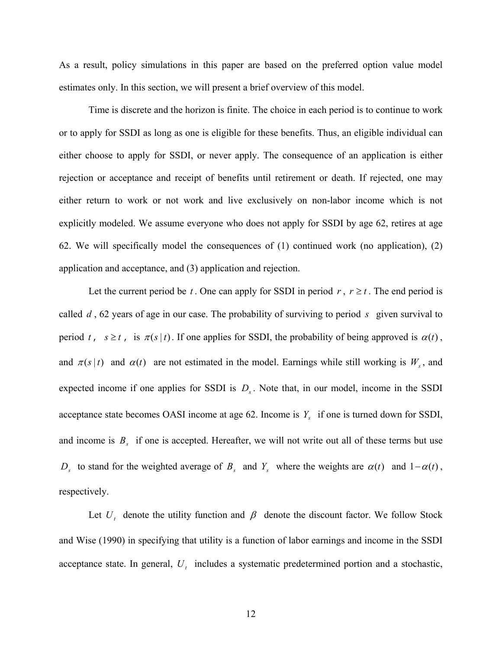As a result, policy simulations in this paper are based on the preferred option value model estimates only. In this section, we will present a brief overview of this model.

Time is discrete and the horizon is finite. The choice in each period is to continue to work or to apply for SSDI as long as one is eligible for these benefits. Thus, an eligible individual can either choose to apply for SSDI, or never apply. The consequence of an application is either rejection or acceptance and receipt of benefits until retirement or death. If rejected, one may either return to work or not work and live exclusively on non-labor income which is not explicitly modeled. We assume everyone who does not apply for SSDI by age 62, retires at age 62. We will specifically model the consequences of (1) continued work (no application), (2) application and acceptance, and (3) application and rejection.

Let the current period be *t*. One can apply for SSDI in period  $r, r \ge t$ . The end period is called *d* , 62 years of age in our case. The probability of surviving to period *s* given survival to period *t*,  $s \ge t$ , is  $\pi(s|t)$ . If one applies for SSDI, the probability of being approved is  $\alpha(t)$ , and  $\pi(s|t)$  and  $\alpha(t)$  are not estimated in the model. Earnings while still working is  $W_s$ , and expected income if one applies for SSDI is  $D<sub>s</sub>$ . Note that, in our model, income in the SSDI acceptance state becomes OASI income at age 62. Income is  $Y_s$  if one is turned down for SSDI, and income is  $B_s$  if one is accepted. Hereafter, we will not write out all of these terms but use *D<sub>s</sub>* to stand for the weighted average of *B<sub>s</sub>* and *Y<sub>s</sub>* where the weights are  $\alpha(t)$  and  $1-\alpha(t)$ , respectively.

Let  $U_t$  denote the utility function and  $\beta$  denote the discount factor. We follow Stock and Wise (1990) in specifying that utility is a function of labor earnings and income in the SSDI acceptance state. In general,  $U_t$  includes a systematic predetermined portion and a stochastic,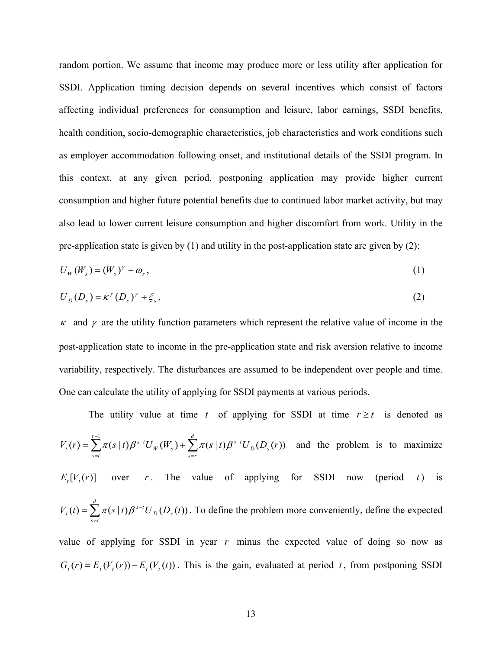random portion. We assume that income may produce more or less utility after application for SSDI. Application timing decision depends on several incentives which consist of factors affecting individual preferences for consumption and leisure, labor earnings, SSDI benefits, health condition, socio-demographic characteristics, job characteristics and work conditions such as employer accommodation following onset, and institutional details of the SSDI program. In this context, at any given period, postponing application may provide higher current consumption and higher future potential benefits due to continued labor market activity, but may also lead to lower current leisure consumption and higher discomfort from work. Utility in the pre-application state is given by (1) and utility in the post-application state are given by (2):

$$
U_W(W_s) = (W_s)^\gamma + \omega_s \,,\tag{1}
$$

$$
U_D(D_s) = \kappa^{\gamma}(D_s)^{\gamma} + \xi_s, \qquad (2)
$$

 $\kappa$  and  $\gamma$  are the utility function parameters which represent the relative value of income in the post-application state to income in the pre-application state and risk aversion relative to income variability, respectively. The disturbances are assumed to be independent over people and time. One can calculate the utility of applying for SSDI payments at various periods.

The utility value at time *t* of applying for SSDI at time  $r \ge t$  is denoted as  $\sum_{s=t}^{r-1} \pi(s \mid t) \beta^{s-t} U_W(W_s) + \sum_{s=r}^{d} \pi(s \mid t) \beta^{s-t}$ =  $=\sum_{r=1}^{r-1}\pi(s|t)\beta^{s-t}U_{W}(W_{s})+\sum_{r=1}^{d}$ *s r*  $D^{U_s}$  $\sum_{r=1}^{r-1} \tau(s \mid t) \theta^{s-t} H(M) + \sum_{r=1}^{d} \tau(s \mid t) \theta^{s-t}$ *s t W s*  $V_t(r) = \sum_{s} \pi(s \mid t) \beta^{s-t} U_w(W_s) + \sum_{s} \pi(s \mid t) \beta^{s-t} U_D(D_s(r))$ 1  $\pi(s|t)\beta^{s-t}U_{w}(W_s)+\sum_{\tau(s|t)\beta^{s-t}U_{\tau}(D_s(r))$  and the problem is to maximize  $E_r[V_r(r)]$  over *r*. The value of applying for SSDI now (period *t*) is  $=\sum_{s=t}^d\pi(s\,|\,t)\beta^{s-1}$ *s t*  $D^{U_s}$  $V_t(t) = \sum_{k} \pi(s|t) \beta^{s-t} U_D(D_s(t))$ . To define the problem more conveniently, define the expected value of applying for SSDI in year *r* minus the expected value of doing so now as  $G_t(r) = E_t(V_t(r)) - E_t(V_t(t))$ . This is the gain, evaluated at period *t*, from postponing SSDI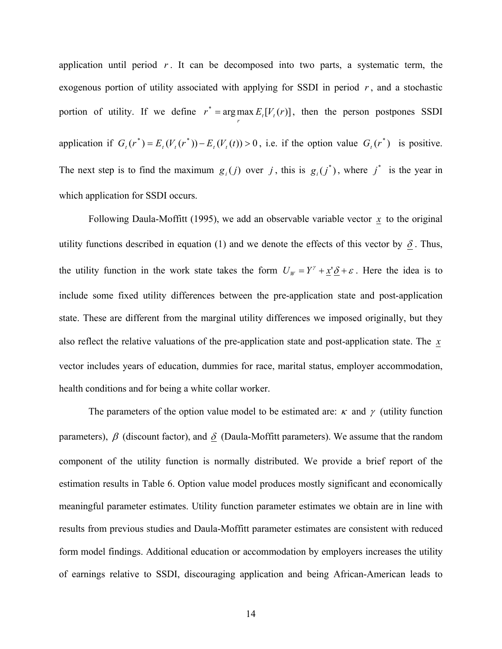application until period  $r$ . It can be decomposed into two parts, a systematic term, the exogenous portion of utility associated with applying for SSDI in period  $r$ , and a stochastic portion of utility. If we define  $r^* = \arg \max_{r} E_t[V_t(r)]$ , then the person postpones SSDI application if  $G_t(r^*) = E_t(V_t(r^*)) - E_t(V_t(t)) > 0$ , i.e. if the option value  $G_t(r^*)$  is positive. The next step is to find the maximum  $g_i(j)$  over *j*, this is  $g_i(j^*)$ , where  $j^*$  is the year in which application for SSDI occurs.

Following Daula-Moffitt (1995), we add an observable variable vector  $\mathbf{x}$  to the original utility functions described in equation (1) and we denote the effects of this vector by  $\delta$ . Thus, the utility function in the work state takes the form  $U_w = Y^{\gamma} + \underline{x}^{\gamma} \underline{\delta} + \varepsilon$ . Here the idea is to include some fixed utility differences between the pre-application state and post-application state. These are different from the marginal utility differences we imposed originally, but they also reflect the relative valuations of the pre-application state and post-application state. The *x* vector includes years of education, dummies for race, marital status, employer accommodation, health conditions and for being a white collar worker.

The parameters of the option value model to be estimated are:  $\kappa$  and  $\gamma$  (utility function parameters),  $\beta$  (discount factor), and  $\delta$  (Daula-Moffitt parameters). We assume that the random component of the utility function is normally distributed. We provide a brief report of the estimation results in Table 6. Option value model produces mostly significant and economically meaningful parameter estimates. Utility function parameter estimates we obtain are in line with results from previous studies and Daula-Moffitt parameter estimates are consistent with reduced form model findings. Additional education or accommodation by employers increases the utility of earnings relative to SSDI, discouraging application and being African-American leads to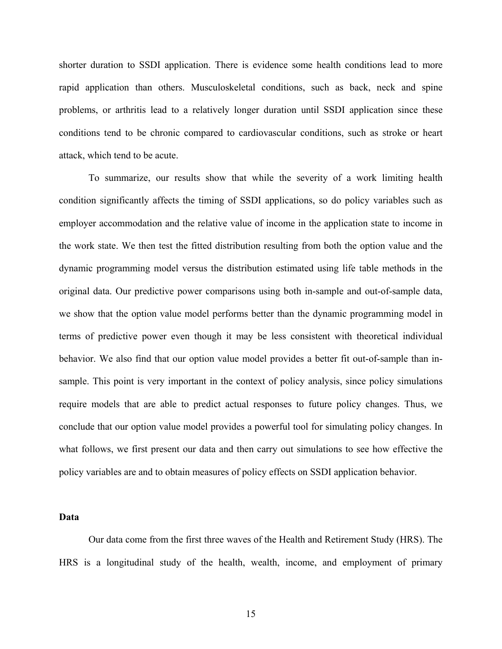shorter duration to SSDI application. There is evidence some health conditions lead to more rapid application than others. Musculoskeletal conditions, such as back, neck and spine problems, or arthritis lead to a relatively longer duration until SSDI application since these conditions tend to be chronic compared to cardiovascular conditions, such as stroke or heart attack, which tend to be acute.

 To summarize, our results show that while the severity of a work limiting health condition significantly affects the timing of SSDI applications, so do policy variables such as employer accommodation and the relative value of income in the application state to income in the work state. We then test the fitted distribution resulting from both the option value and the dynamic programming model versus the distribution estimated using life table methods in the original data. Our predictive power comparisons using both in-sample and out-of-sample data, we show that the option value model performs better than the dynamic programming model in terms of predictive power even though it may be less consistent with theoretical individual behavior. We also find that our option value model provides a better fit out-of-sample than insample. This point is very important in the context of policy analysis, since policy simulations require models that are able to predict actual responses to future policy changes. Thus, we conclude that our option value model provides a powerful tool for simulating policy changes. In what follows, we first present our data and then carry out simulations to see how effective the policy variables are and to obtain measures of policy effects on SSDI application behavior.

#### **Data**

Our data come from the first three waves of the Health and Retirement Study (HRS). The HRS is a longitudinal study of the health, wealth, income, and employment of primary

15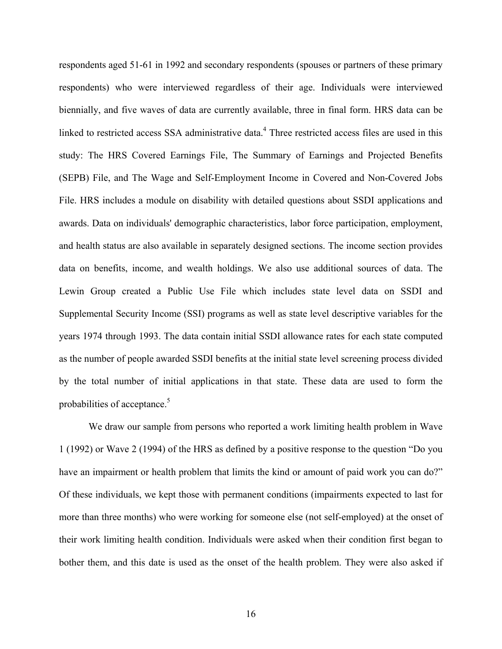respondents aged 51-61 in 1992 and secondary respondents (spouses or partners of these primary respondents) who were interviewed regardless of their age. Individuals were interviewed biennially, and five waves of data are currently available, three in final form. HRS data can be linked to restricted access SSA administrative data.<sup>4</sup> Three restricted access files are used in this study: The HRS Covered Earnings File, The Summary of Earnings and Projected Benefits (SEPB) File, and The Wage and Self-Employment Income in Covered and Non-Covered Jobs File. HRS includes a module on disability with detailed questions about SSDI applications and awards. Data on individuals' demographic characteristics, labor force participation, employment, and health status are also available in separately designed sections. The income section provides data on benefits, income, and wealth holdings. We also use additional sources of data. The Lewin Group created a Public Use File which includes state level data on SSDI and Supplemental Security Income (SSI) programs as well as state level descriptive variables for the years 1974 through 1993. The data contain initial SSDI allowance rates for each state computed as the number of people awarded SSDI benefits at the initial state level screening process divided by the total number of initial applications in that state. These data are used to form the probabilities of acceptance.<sup>5</sup>

We draw our sample from persons who reported a work limiting health problem in Wave 1 (1992) or Wave 2 (1994) of the HRS as defined by a positive response to the question "Do you have an impairment or health problem that limits the kind or amount of paid work you can do?" Of these individuals, we kept those with permanent conditions (impairments expected to last for more than three months) who were working for someone else (not self-employed) at the onset of their work limiting health condition. Individuals were asked when their condition first began to bother them, and this date is used as the onset of the health problem. They were also asked if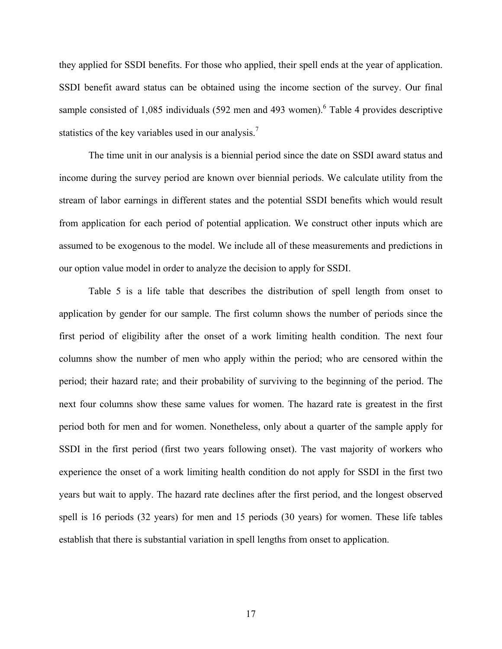they applied for SSDI benefits. For those who applied, their spell ends at the year of application. SSDI benefit award status can be obtained using the income section of the survey. Our final sample consisted of 1,085 individuals (592 men and 493 women). <sup>6</sup> Table 4 provides descriptive statistics of the key variables used in our analysis.<sup>7</sup>

The time unit in our analysis is a biennial period since the date on SSDI award status and income during the survey period are known over biennial periods. We calculate utility from the stream of labor earnings in different states and the potential SSDI benefits which would result from application for each period of potential application. We construct other inputs which are assumed to be exogenous to the model. We include all of these measurements and predictions in our option value model in order to analyze the decision to apply for SSDI.

Table 5 is a life table that describes the distribution of spell length from onset to application by gender for our sample. The first column shows the number of periods since the first period of eligibility after the onset of a work limiting health condition. The next four columns show the number of men who apply within the period; who are censored within the period; their hazard rate; and their probability of surviving to the beginning of the period. The next four columns show these same values for women. The hazard rate is greatest in the first period both for men and for women. Nonetheless, only about a quarter of the sample apply for SSDI in the first period (first two years following onset). The vast majority of workers who experience the onset of a work limiting health condition do not apply for SSDI in the first two years but wait to apply. The hazard rate declines after the first period, and the longest observed spell is 16 periods (32 years) for men and 15 periods (30 years) for women. These life tables establish that there is substantial variation in spell lengths from onset to application.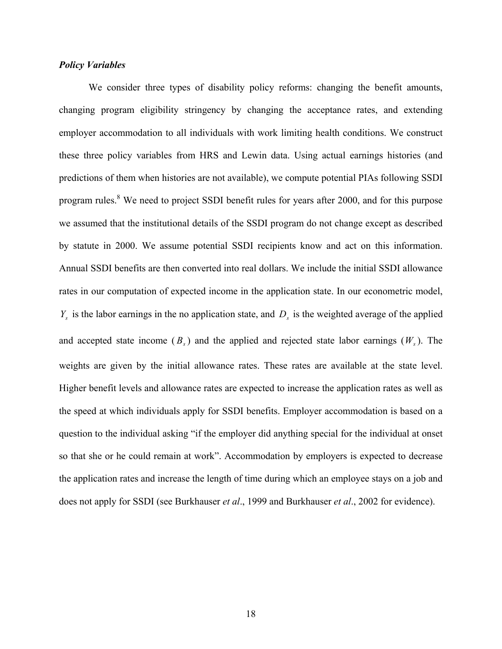#### *Policy Variables*

We consider three types of disability policy reforms: changing the benefit amounts, changing program eligibility stringency by changing the acceptance rates, and extending employer accommodation to all individuals with work limiting health conditions. We construct these three policy variables from HRS and Lewin data. Using actual earnings histories (and predictions of them when histories are not available), we compute potential PIAs following SSDI program rules.<sup>8</sup> We need to project SSDI benefit rules for years after 2000, and for this purpose we assumed that the institutional details of the SSDI program do not change except as described by statute in 2000. We assume potential SSDI recipients know and act on this information. Annual SSDI benefits are then converted into real dollars. We include the initial SSDI allowance rates in our computation of expected income in the application state. In our econometric model,  $Y_s$  is the labor earnings in the no application state, and  $D_s$  is the weighted average of the applied and accepted state income  $(B_s)$  and the applied and rejected state labor earnings  $(W_s)$ . The weights are given by the initial allowance rates. These rates are available at the state level. Higher benefit levels and allowance rates are expected to increase the application rates as well as the speed at which individuals apply for SSDI benefits. Employer accommodation is based on a question to the individual asking "if the employer did anything special for the individual at onset so that she or he could remain at work". Accommodation by employers is expected to decrease the application rates and increase the length of time during which an employee stays on a job and does not apply for SSDI (see Burkhauser *et al*., 1999 and Burkhauser *et al*., 2002 for evidence).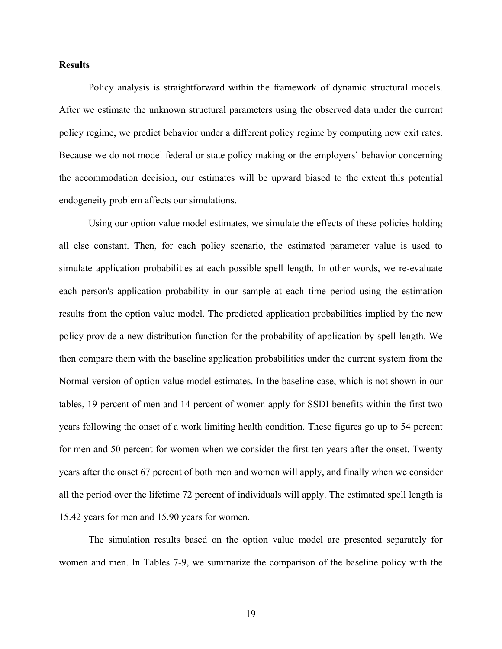#### **Results**

Policy analysis is straightforward within the framework of dynamic structural models. After we estimate the unknown structural parameters using the observed data under the current policy regime, we predict behavior under a different policy regime by computing new exit rates. Because we do not model federal or state policy making or the employers' behavior concerning the accommodation decision, our estimates will be upward biased to the extent this potential endogeneity problem affects our simulations.

Using our option value model estimates, we simulate the effects of these policies holding all else constant. Then, for each policy scenario, the estimated parameter value is used to simulate application probabilities at each possible spell length. In other words, we re-evaluate each person's application probability in our sample at each time period using the estimation results from the option value model. The predicted application probabilities implied by the new policy provide a new distribution function for the probability of application by spell length. We then compare them with the baseline application probabilities under the current system from the Normal version of option value model estimates. In the baseline case, which is not shown in our tables, 19 percent of men and 14 percent of women apply for SSDI benefits within the first two years following the onset of a work limiting health condition. These figures go up to 54 percent for men and 50 percent for women when we consider the first ten years after the onset. Twenty years after the onset 67 percent of both men and women will apply, and finally when we consider all the period over the lifetime 72 percent of individuals will apply. The estimated spell length is 15.42 years for men and 15.90 years for women.

 The simulation results based on the option value model are presented separately for women and men. In Tables 7-9, we summarize the comparison of the baseline policy with the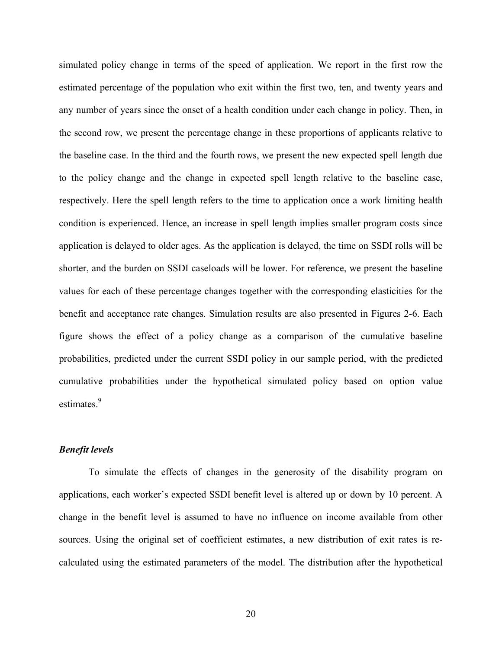simulated policy change in terms of the speed of application. We report in the first row the estimated percentage of the population who exit within the first two, ten, and twenty years and any number of years since the onset of a health condition under each change in policy. Then, in the second row, we present the percentage change in these proportions of applicants relative to the baseline case. In the third and the fourth rows, we present the new expected spell length due to the policy change and the change in expected spell length relative to the baseline case, respectively. Here the spell length refers to the time to application once a work limiting health condition is experienced. Hence, an increase in spell length implies smaller program costs since application is delayed to older ages. As the application is delayed, the time on SSDI rolls will be shorter, and the burden on SSDI caseloads will be lower. For reference, we present the baseline values for each of these percentage changes together with the corresponding elasticities for the benefit and acceptance rate changes. Simulation results are also presented in Figures 2-6. Each figure shows the effect of a policy change as a comparison of the cumulative baseline probabilities, predicted under the current SSDI policy in our sample period, with the predicted cumulative probabilities under the hypothetical simulated policy based on option value estimates.<sup>9</sup>

#### *Benefit levels*

 To simulate the effects of changes in the generosity of the disability program on applications, each worker's expected SSDI benefit level is altered up or down by 10 percent. A change in the benefit level is assumed to have no influence on income available from other sources. Using the original set of coefficient estimates, a new distribution of exit rates is recalculated using the estimated parameters of the model. The distribution after the hypothetical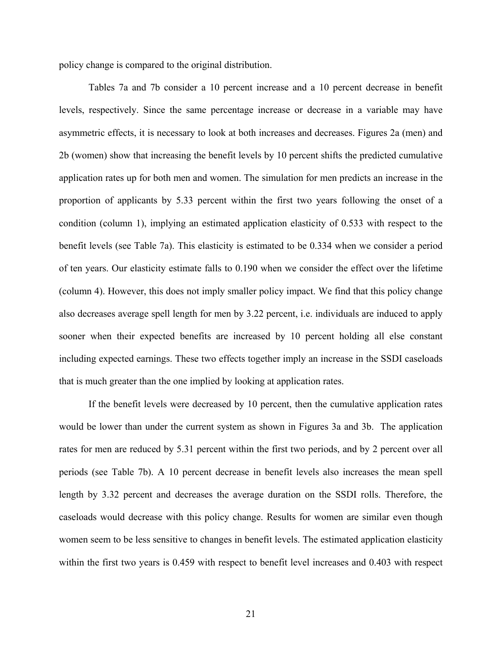policy change is compared to the original distribution.

Tables 7a and 7b consider a 10 percent increase and a 10 percent decrease in benefit levels, respectively. Since the same percentage increase or decrease in a variable may have asymmetric effects, it is necessary to look at both increases and decreases. Figures 2a (men) and 2b (women) show that increasing the benefit levels by 10 percent shifts the predicted cumulative application rates up for both men and women. The simulation for men predicts an increase in the proportion of applicants by 5.33 percent within the first two years following the onset of a condition (column 1), implying an estimated application elasticity of 0.533 with respect to the benefit levels (see Table 7a). This elasticity is estimated to be 0.334 when we consider a period of ten years. Our elasticity estimate falls to 0.190 when we consider the effect over the lifetime (column 4). However, this does not imply smaller policy impact. We find that this policy change also decreases average spell length for men by 3.22 percent, i.e. individuals are induced to apply sooner when their expected benefits are increased by 10 percent holding all else constant including expected earnings. These two effects together imply an increase in the SSDI caseloads that is much greater than the one implied by looking at application rates.

If the benefit levels were decreased by 10 percent, then the cumulative application rates would be lower than under the current system as shown in Figures 3a and 3b. The application rates for men are reduced by 5.31 percent within the first two periods, and by 2 percent over all periods (see Table 7b). A 10 percent decrease in benefit levels also increases the mean spell length by 3.32 percent and decreases the average duration on the SSDI rolls. Therefore, the caseloads would decrease with this policy change. Results for women are similar even though women seem to be less sensitive to changes in benefit levels. The estimated application elasticity within the first two years is 0.459 with respect to benefit level increases and 0.403 with respect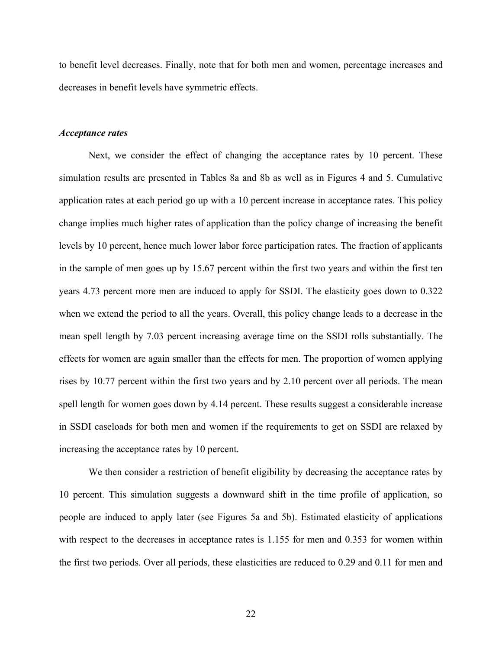to benefit level decreases. Finally, note that for both men and women, percentage increases and decreases in benefit levels have symmetric effects.

#### *Acceptance rates*

Next, we consider the effect of changing the acceptance rates by 10 percent. These simulation results are presented in Tables 8a and 8b as well as in Figures 4 and 5. Cumulative application rates at each period go up with a 10 percent increase in acceptance rates. This policy change implies much higher rates of application than the policy change of increasing the benefit levels by 10 percent, hence much lower labor force participation rates. The fraction of applicants in the sample of men goes up by 15.67 percent within the first two years and within the first ten years 4.73 percent more men are induced to apply for SSDI. The elasticity goes down to 0.322 when we extend the period to all the years. Overall, this policy change leads to a decrease in the mean spell length by 7.03 percent increasing average time on the SSDI rolls substantially. The effects for women are again smaller than the effects for men. The proportion of women applying rises by 10.77 percent within the first two years and by 2.10 percent over all periods. The mean spell length for women goes down by 4.14 percent. These results suggest a considerable increase in SSDI caseloads for both men and women if the requirements to get on SSDI are relaxed by increasing the acceptance rates by 10 percent.

We then consider a restriction of benefit eligibility by decreasing the acceptance rates by 10 percent. This simulation suggests a downward shift in the time profile of application, so people are induced to apply later (see Figures 5a and 5b). Estimated elasticity of applications with respect to the decreases in acceptance rates is 1.155 for men and 0.353 for women within the first two periods. Over all periods, these elasticities are reduced to 0.29 and 0.11 for men and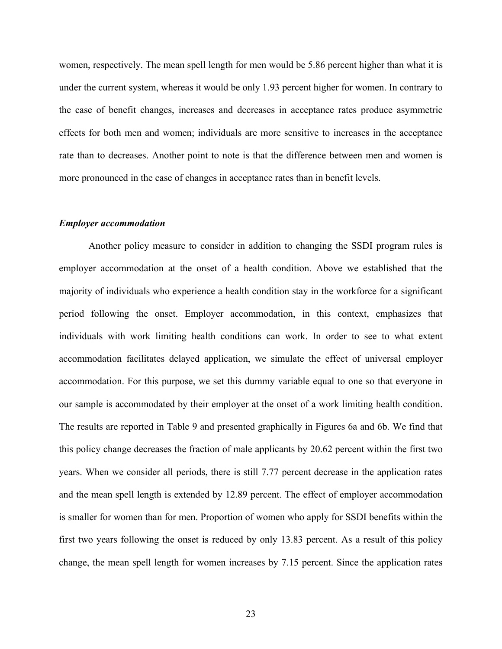women, respectively. The mean spell length for men would be 5.86 percent higher than what it is under the current system, whereas it would be only 1.93 percent higher for women. In contrary to the case of benefit changes, increases and decreases in acceptance rates produce asymmetric effects for both men and women; individuals are more sensitive to increases in the acceptance rate than to decreases. Another point to note is that the difference between men and women is more pronounced in the case of changes in acceptance rates than in benefit levels.

#### *Employer accommodation*

 Another policy measure to consider in addition to changing the SSDI program rules is employer accommodation at the onset of a health condition. Above we established that the majority of individuals who experience a health condition stay in the workforce for a significant period following the onset. Employer accommodation, in this context, emphasizes that individuals with work limiting health conditions can work. In order to see to what extent accommodation facilitates delayed application, we simulate the effect of universal employer accommodation. For this purpose, we set this dummy variable equal to one so that everyone in our sample is accommodated by their employer at the onset of a work limiting health condition. The results are reported in Table 9 and presented graphically in Figures 6a and 6b. We find that this policy change decreases the fraction of male applicants by 20.62 percent within the first two years. When we consider all periods, there is still 7.77 percent decrease in the application rates and the mean spell length is extended by 12.89 percent. The effect of employer accommodation is smaller for women than for men. Proportion of women who apply for SSDI benefits within the first two years following the onset is reduced by only 13.83 percent. As a result of this policy change, the mean spell length for women increases by 7.15 percent. Since the application rates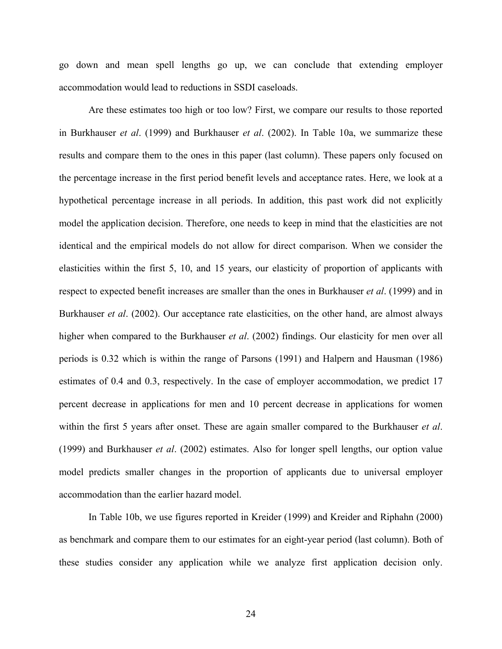go down and mean spell lengths go up, we can conclude that extending employer accommodation would lead to reductions in SSDI caseloads.

 Are these estimates too high or too low? First, we compare our results to those reported in Burkhauser *et al*. (1999) and Burkhauser *et al*. (2002). In Table 10a, we summarize these results and compare them to the ones in this paper (last column). These papers only focused on the percentage increase in the first period benefit levels and acceptance rates. Here, we look at a hypothetical percentage increase in all periods. In addition, this past work did not explicitly model the application decision. Therefore, one needs to keep in mind that the elasticities are not identical and the empirical models do not allow for direct comparison. When we consider the elasticities within the first 5, 10, and 15 years, our elasticity of proportion of applicants with respect to expected benefit increases are smaller than the ones in Burkhauser *et al*. (1999) and in Burkhauser *et al*. (2002). Our acceptance rate elasticities, on the other hand, are almost always higher when compared to the Burkhauser *et al*. (2002) findings. Our elasticity for men over all periods is 0.32 which is within the range of Parsons (1991) and Halpern and Hausman (1986) estimates of 0.4 and 0.3, respectively. In the case of employer accommodation, we predict 17 percent decrease in applications for men and 10 percent decrease in applications for women within the first 5 years after onset. These are again smaller compared to the Burkhauser *et al*. (1999) and Burkhauser *et al*. (2002) estimates. Also for longer spell lengths, our option value model predicts smaller changes in the proportion of applicants due to universal employer accommodation than the earlier hazard model.

 In Table 10b, we use figures reported in Kreider (1999) and Kreider and Riphahn (2000) as benchmark and compare them to our estimates for an eight-year period (last column). Both of these studies consider any application while we analyze first application decision only.

24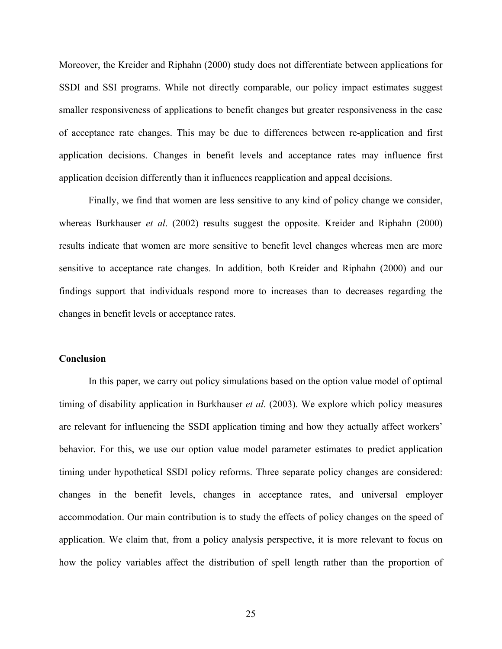Moreover, the Kreider and Riphahn (2000) study does not differentiate between applications for SSDI and SSI programs. While not directly comparable, our policy impact estimates suggest smaller responsiveness of applications to benefit changes but greater responsiveness in the case of acceptance rate changes. This may be due to differences between re-application and first application decisions. Changes in benefit levels and acceptance rates may influence first application decision differently than it influences reapplication and appeal decisions.

 Finally, we find that women are less sensitive to any kind of policy change we consider, whereas Burkhauser *et al*. (2002) results suggest the opposite. Kreider and Riphahn (2000) results indicate that women are more sensitive to benefit level changes whereas men are more sensitive to acceptance rate changes. In addition, both Kreider and Riphahn (2000) and our findings support that individuals respond more to increases than to decreases regarding the changes in benefit levels or acceptance rates.

#### **Conclusion**

 In this paper, we carry out policy simulations based on the option value model of optimal timing of disability application in Burkhauser *et al*. (2003). We explore which policy measures are relevant for influencing the SSDI application timing and how they actually affect workers' behavior. For this, we use our option value model parameter estimates to predict application timing under hypothetical SSDI policy reforms. Three separate policy changes are considered: changes in the benefit levels, changes in acceptance rates, and universal employer accommodation. Our main contribution is to study the effects of policy changes on the speed of application. We claim that, from a policy analysis perspective, it is more relevant to focus on how the policy variables affect the distribution of spell length rather than the proportion of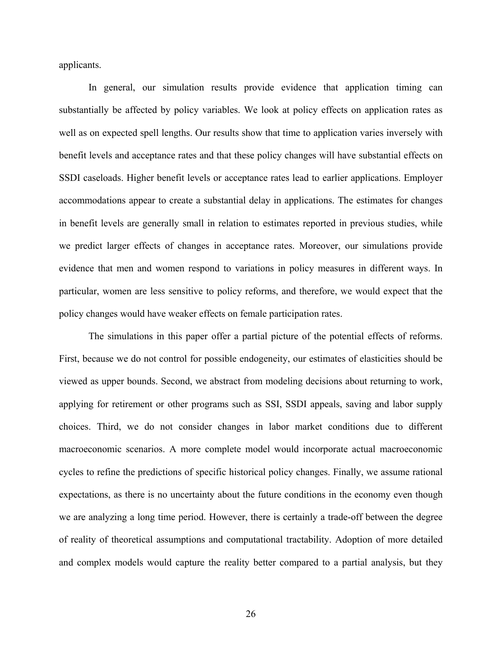applicants.

In general, our simulation results provide evidence that application timing can substantially be affected by policy variables. We look at policy effects on application rates as well as on expected spell lengths. Our results show that time to application varies inversely with benefit levels and acceptance rates and that these policy changes will have substantial effects on SSDI caseloads. Higher benefit levels or acceptance rates lead to earlier applications. Employer accommodations appear to create a substantial delay in applications. The estimates for changes in benefit levels are generally small in relation to estimates reported in previous studies, while we predict larger effects of changes in acceptance rates. Moreover, our simulations provide evidence that men and women respond to variations in policy measures in different ways. In particular, women are less sensitive to policy reforms, and therefore, we would expect that the policy changes would have weaker effects on female participation rates.

 The simulations in this paper offer a partial picture of the potential effects of reforms. First, because we do not control for possible endogeneity, our estimates of elasticities should be viewed as upper bounds. Second, we abstract from modeling decisions about returning to work, applying for retirement or other programs such as SSI, SSDI appeals, saving and labor supply choices. Third, we do not consider changes in labor market conditions due to different macroeconomic scenarios. A more complete model would incorporate actual macroeconomic cycles to refine the predictions of specific historical policy changes. Finally, we assume rational expectations, as there is no uncertainty about the future conditions in the economy even though we are analyzing a long time period. However, there is certainly a trade-off between the degree of reality of theoretical assumptions and computational tractability. Adoption of more detailed and complex models would capture the reality better compared to a partial analysis, but they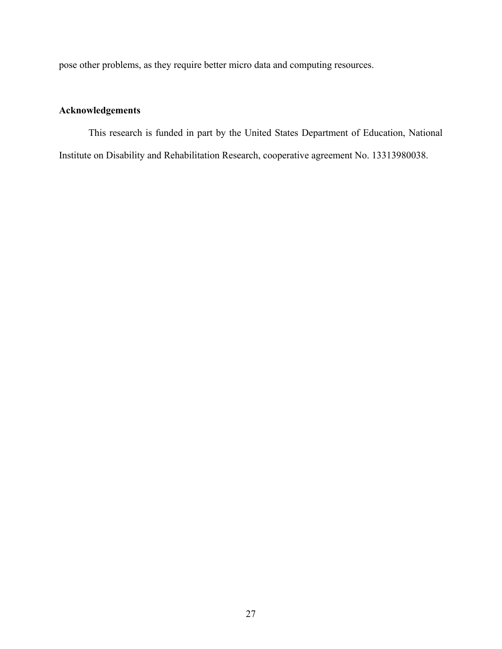pose other problems, as they require better micro data and computing resources.

## **Acknowledgements**

 This research is funded in part by the United States Department of Education, National Institute on Disability and Rehabilitation Research, cooperative agreement No. 13313980038.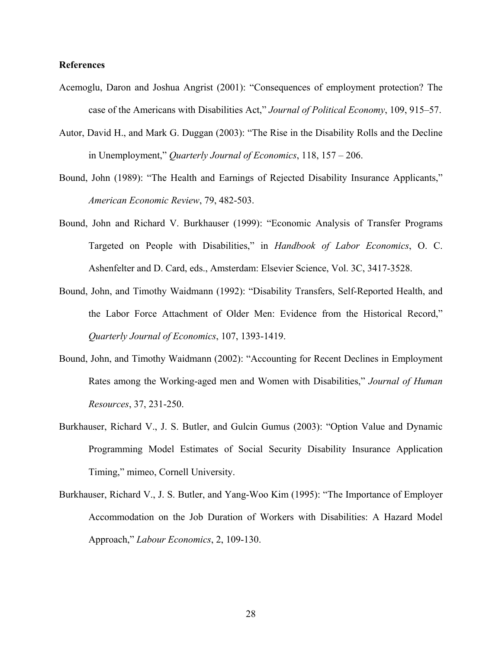#### **References**

- Acemoglu, Daron and Joshua Angrist (2001): "Consequences of employment protection? The case of the Americans with Disabilities Act," *Journal of Political Economy*, 109, 915–57.
- Autor, David H., and Mark G. Duggan (2003): "The Rise in the Disability Rolls and the Decline in Unemployment," *Quarterly Journal of Economics*, 118, 157 – 206.
- Bound, John (1989): "The Health and Earnings of Rejected Disability Insurance Applicants," *American Economic Review*, 79, 482-503.
- Bound, John and Richard V. Burkhauser (1999): "Economic Analysis of Transfer Programs Targeted on People with Disabilities," in *Handbook of Labor Economics*, O. C. Ashenfelter and D. Card, eds., Amsterdam: Elsevier Science, Vol. 3C, 3417-3528.
- Bound, John, and Timothy Waidmann (1992): "Disability Transfers, Self-Reported Health, and the Labor Force Attachment of Older Men: Evidence from the Historical Record," *Quarterly Journal of Economics*, 107, 1393-1419.
- Bound, John, and Timothy Waidmann (2002): "Accounting for Recent Declines in Employment Rates among the Working-aged men and Women with Disabilities," *Journal of Human Resources*, 37, 231-250.
- Burkhauser, Richard V., J. S. Butler, and Gulcin Gumus (2003): "Option Value and Dynamic Programming Model Estimates of Social Security Disability Insurance Application Timing," mimeo, Cornell University.
- Burkhauser, Richard V., J. S. Butler, and Yang-Woo Kim (1995): "The Importance of Employer Accommodation on the Job Duration of Workers with Disabilities: A Hazard Model Approach," *Labour Economics*, 2, 109-130.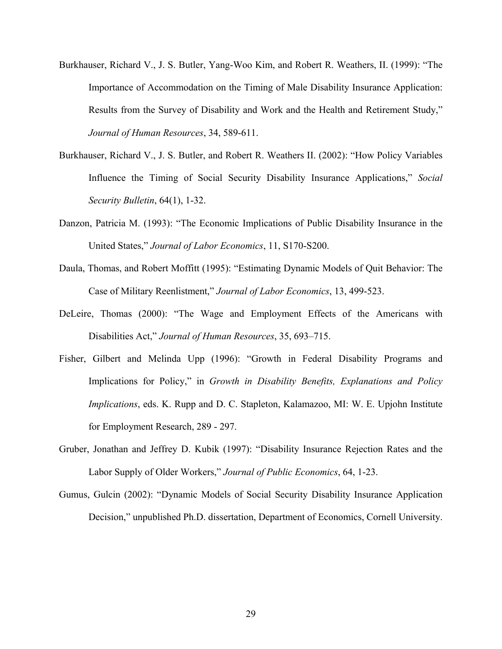- Burkhauser, Richard V., J. S. Butler, Yang-Woo Kim, and Robert R. Weathers, II. (1999): "The Importance of Accommodation on the Timing of Male Disability Insurance Application: Results from the Survey of Disability and Work and the Health and Retirement Study," *Journal of Human Resources*, 34, 589-611.
- Burkhauser, Richard V., J. S. Butler, and Robert R. Weathers II. (2002): "How Policy Variables Influence the Timing of Social Security Disability Insurance Applications," *Social Security Bulletin*, 64(1), 1-32.
- Danzon, Patricia M. (1993): "The Economic Implications of Public Disability Insurance in the United States," *Journal of Labor Economics*, 11, S170-S200.
- Daula, Thomas, and Robert Moffitt (1995): "Estimating Dynamic Models of Quit Behavior: The Case of Military Reenlistment," *Journal of Labor Economics*, 13, 499-523.
- DeLeire, Thomas (2000): "The Wage and Employment Effects of the Americans with Disabilities Act," *Journal of Human Resources*, 35, 693–715.
- Fisher, Gilbert and Melinda Upp (1996): "Growth in Federal Disability Programs and Implications for Policy," in *Growth in Disability Benefits, Explanations and Policy Implications*, eds. K. Rupp and D. C. Stapleton, Kalamazoo, MI: W. E. Upjohn Institute for Employment Research, 289 - 297.
- Gruber, Jonathan and Jeffrey D. Kubik (1997): "Disability Insurance Rejection Rates and the Labor Supply of Older Workers," *Journal of Public Economics*, 64, 1-23.
- Gumus, Gulcin (2002): "Dynamic Models of Social Security Disability Insurance Application Decision," unpublished Ph.D. dissertation, Department of Economics, Cornell University.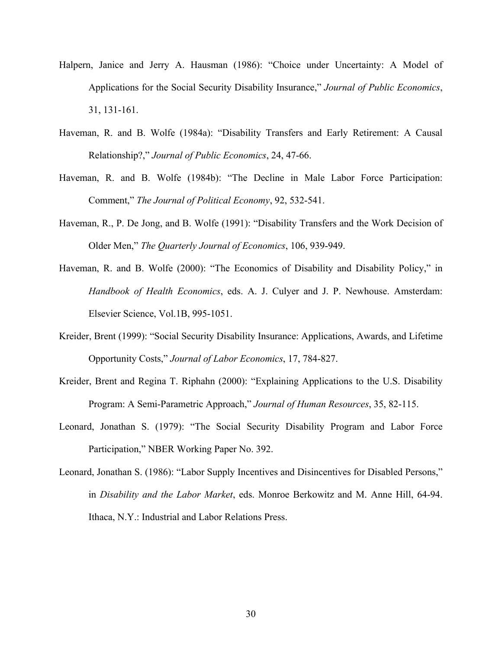- Halpern, Janice and Jerry A. Hausman (1986): "Choice under Uncertainty: A Model of Applications for the Social Security Disability Insurance," *Journal of Public Economics*, 31, 131-161.
- Haveman, R. and B. Wolfe (1984a): "Disability Transfers and Early Retirement: A Causal Relationship?," *Journal of Public Economics*, 24, 47-66.
- Haveman, R. and B. Wolfe (1984b): "The Decline in Male Labor Force Participation: Comment," *The Journal of Political Economy*, 92, 532-541.
- Haveman, R., P. De Jong, and B. Wolfe (1991): "Disability Transfers and the Work Decision of Older Men," *The Quarterly Journal of Economics*, 106, 939-949.
- Haveman, R. and B. Wolfe (2000): "The Economics of Disability and Disability Policy," in *Handbook of Health Economics*, eds. A. J. Culyer and J. P. Newhouse. Amsterdam: Elsevier Science, Vol.1B, 995-1051.
- Kreider, Brent (1999): "Social Security Disability Insurance: Applications, Awards, and Lifetime Opportunity Costs," *Journal of Labor Economics*, 17, 784-827.
- Kreider, Brent and Regina T. Riphahn (2000): "Explaining Applications to the U.S. Disability Program: A Semi-Parametric Approach," *Journal of Human Resources*, 35, 82-115.
- Leonard, Jonathan S. (1979): "The Social Security Disability Program and Labor Force Participation," NBER Working Paper No. 392.
- Leonard, Jonathan S. (1986): "Labor Supply Incentives and Disincentives for Disabled Persons," in *Disability and the Labor Market*, eds. Monroe Berkowitz and M. Anne Hill, 64-94. Ithaca, N.Y.: Industrial and Labor Relations Press.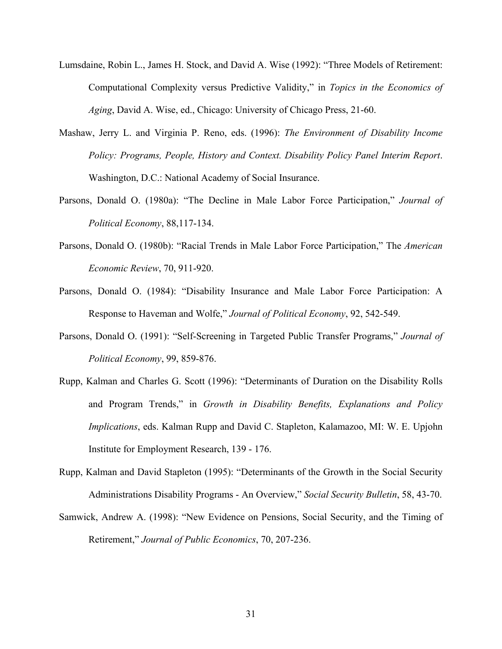- Lumsdaine, Robin L., James H. Stock, and David A. Wise (1992): "Three Models of Retirement: Computational Complexity versus Predictive Validity," in *Topics in the Economics of Aging*, David A. Wise, ed., Chicago: University of Chicago Press, 21-60.
- Mashaw, Jerry L. and Virginia P. Reno, eds. (1996): *The Environment of Disability Income Policy: Programs, People, History and Context. Disability Policy Panel Interim Report*. Washington, D.C.: National Academy of Social Insurance.
- Parsons, Donald O. (1980a): "The Decline in Male Labor Force Participation," *Journal of Political Economy*, 88,117-134.
- Parsons, Donald O. (1980b): "Racial Trends in Male Labor Force Participation," The *American Economic Review*, 70, 911-920.
- Parsons, Donald O. (1984): "Disability Insurance and Male Labor Force Participation: A Response to Haveman and Wolfe," *Journal of Political Economy*, 92, 542-549.
- Parsons, Donald O. (1991): "Self-Screening in Targeted Public Transfer Programs," *Journal of Political Economy*, 99, 859-876.
- Rupp, Kalman and Charles G. Scott (1996): "Determinants of Duration on the Disability Rolls and Program Trends," in *Growth in Disability Benefits, Explanations and Policy Implications*, eds. Kalman Rupp and David C. Stapleton, Kalamazoo, MI: W. E. Upjohn Institute for Employment Research, 139 - 176.
- Rupp, Kalman and David Stapleton (1995): "Determinants of the Growth in the Social Security Administrations Disability Programs - An Overview," *Social Security Bulletin*, 58, 43-70.
- Samwick, Andrew A. (1998): "New Evidence on Pensions, Social Security, and the Timing of Retirement," *Journal of Public Economics*, 70, 207-236.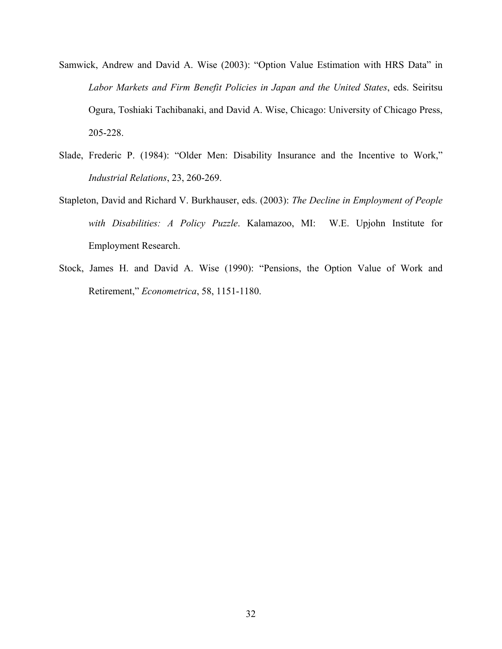- Samwick, Andrew and David A. Wise (2003): "Option Value Estimation with HRS Data" in *Labor Markets and Firm Benefit Policies in Japan and the United States*, eds. Seiritsu Ogura, Toshiaki Tachibanaki, and David A. Wise, Chicago: University of Chicago Press, 205-228.
- Slade, Frederic P. (1984): "Older Men: Disability Insurance and the Incentive to Work," *Industrial Relations*, 23, 260-269.
- Stapleton, David and Richard V. Burkhauser, eds. (2003): *The Decline in Employment of People with Disabilities: A Policy Puzzle*. Kalamazoo, MI: W.E. Upjohn Institute for Employment Research.
- Stock, James H. and David A. Wise (1990): "Pensions, the Option Value of Work and Retirement," *Econometrica*, 58, 1151-1180.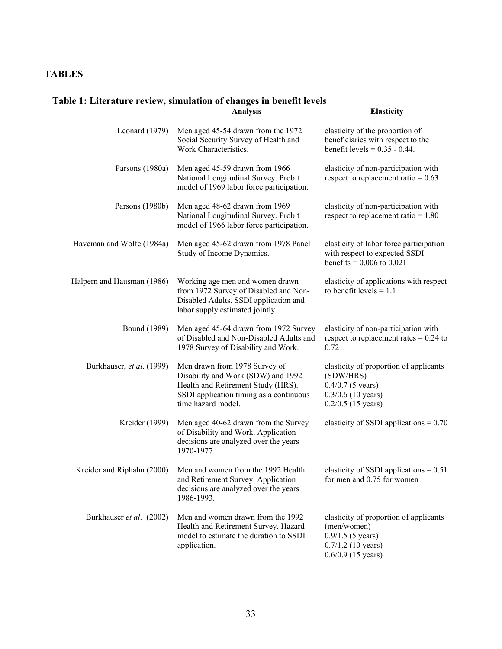## **TABLES**

## **Table 1: Literature review, simulation of changes in benefit levels**

|                            | <b>Analysis</b>                                                                                                                                                            | <b>Elasticity</b>                                                                                                            |
|----------------------------|----------------------------------------------------------------------------------------------------------------------------------------------------------------------------|------------------------------------------------------------------------------------------------------------------------------|
| Leonard (1979)             | Men aged 45-54 drawn from the 1972<br>Social Security Survey of Health and<br>Work Characteristics.                                                                        | elasticity of the proportion of<br>beneficiaries with respect to the<br>benefit levels = $0.35 - 0.44$ .                     |
| Parsons (1980a)            | Men aged 45-59 drawn from 1966<br>National Longitudinal Survey. Probit<br>model of 1969 labor force participation.                                                         | elasticity of non-participation with<br>respect to replacement ratio = $0.63$                                                |
| Parsons (1980b)            | Men aged 48-62 drawn from 1969<br>National Longitudinal Survey. Probit<br>model of 1966 labor force participation.                                                         | elasticity of non-participation with<br>respect to replacement ratio = $1.80$                                                |
| Haveman and Wolfe (1984a)  | Men aged 45-62 drawn from 1978 Panel<br>Study of Income Dynamics.                                                                                                          | elasticity of labor force participation<br>with respect to expected SSDI<br>benefits = $0.006$ to $0.021$                    |
| Halpern and Hausman (1986) | Working age men and women drawn<br>from 1972 Survey of Disabled and Non-<br>Disabled Adults. SSDI application and<br>labor supply estimated jointly.                       | elasticity of applications with respect<br>to benefit levels $= 1.1$                                                         |
| <b>Bound</b> (1989)        | Men aged 45-64 drawn from 1972 Survey<br>of Disabled and Non-Disabled Adults and<br>1978 Survey of Disability and Work.                                                    | elasticity of non-participation with<br>respect to replacement rates = $0.24$ to<br>0.72                                     |
| Burkhauser, et al. (1999)  | Men drawn from 1978 Survey of<br>Disability and Work (SDW) and 1992<br>Health and Retirement Study (HRS).<br>SSDI application timing as a continuous<br>time hazard model. | elasticity of proportion of applicants<br>(SDW/HRS)<br>$0.4/0.7$ (5 years)<br>$0.3/0.6$ (10 years)<br>$0.2/0.5$ (15 years)   |
| Kreider (1999)             | Men aged 40-62 drawn from the Survey<br>of Disability and Work. Application<br>decisions are analyzed over the years<br>1970-1977.                                         | elasticity of SSDI applications = $0.70$                                                                                     |
| Kreider and Riphahn (2000) | Men and women from the 1992 Health<br>and Retirement Survey. Application<br>decisions are analyzed over the years<br>1986-1993.                                            | elasticity of SSDI applications = $0.51$<br>for men and 0.75 for women                                                       |
| Burkhauser et al. (2002)   | Men and women drawn from the 1992<br>Health and Retirement Survey. Hazard<br>model to estimate the duration to SSDI<br>application.                                        | elasticity of proportion of applicants<br>(men/women)<br>$0.9/1.5$ (5 years)<br>$0.7/1.2$ (10 years)<br>$0.6/0.9$ (15 years) |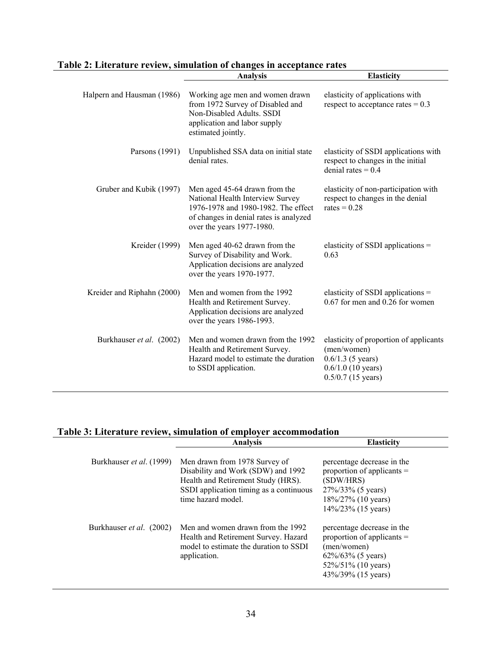| Table 2: Literature review, simulation of changes in acceptance rates |                   |
|-----------------------------------------------------------------------|-------------------|
| Analysis                                                              | <b>Elasticity</b> |

|                            | <b>Analysis</b>                                                                                                                                                                 | <b>Liasticity</b>                                                                                                            |
|----------------------------|---------------------------------------------------------------------------------------------------------------------------------------------------------------------------------|------------------------------------------------------------------------------------------------------------------------------|
| Halpern and Hausman (1986) | Working age men and women drawn<br>from 1972 Survey of Disabled and<br>Non-Disabled Adults, SSDI<br>application and labor supply<br>estimated jointly.                          | elasticity of applications with<br>respect to acceptance rates $= 0.3$                                                       |
| Parsons (1991)             | Unpublished SSA data on initial state<br>denial rates.                                                                                                                          | elasticity of SSDI applications with<br>respect to changes in the initial<br>denial rates $= 0.4$                            |
| Gruber and Kubik (1997)    | Men aged 45-64 drawn from the<br>National Health Interview Survey<br>1976-1978 and 1980-1982. The effect<br>of changes in denial rates is analyzed<br>over the years 1977-1980. | elasticity of non-participation with<br>respect to changes in the denial<br>rates = $0.28$                                   |
| Kreider (1999)             | Men aged 40-62 drawn from the<br>Survey of Disability and Work.<br>Application decisions are analyzed<br>over the years 1970-1977.                                              | elasticity of SSDI applications $=$<br>0.63                                                                                  |
| Kreider and Riphahn (2000) | Men and women from the 1992<br>Health and Retirement Survey.<br>Application decisions are analyzed<br>over the years 1986-1993.                                                 | elasticity of SSDI applications =<br>0.67 for men and 0.26 for women                                                         |
| Burkhauser et al. (2002)   | Men and women drawn from the 1992<br>Health and Retirement Survey.<br>Hazard model to estimate the duration<br>to SSDI application.                                             | elasticity of proportion of applicants<br>(men/women)<br>$0.6/1.3$ (5 years)<br>$0.6/1.0$ (10 years)<br>$0.5/0.7$ (15 years) |

## **Table 3: Literature review, simulation of employer accommodation**

|                                 | <b>Analysis</b>                                                                                                                                                            | <b>Elasticity</b>                                                                                                                              |
|---------------------------------|----------------------------------------------------------------------------------------------------------------------------------------------------------------------------|------------------------------------------------------------------------------------------------------------------------------------------------|
| Burkhauser et al. (1999)        | Men drawn from 1978 Survey of<br>Disability and Work (SDW) and 1992<br>Health and Retirement Study (HRS).<br>SSDI application timing as a continuous<br>time hazard model. | percentage decrease in the<br>proportion of applicants $=$<br>(SDW/HRS)<br>27%/33% (5 years)<br>18%/27% (10 years)<br>$14\%/23\%$ (15 years)   |
| Burkhauser <i>et al.</i> (2002) | Men and women drawn from the 1992<br>Health and Retirement Survey. Hazard<br>model to estimate the duration to SSDI<br>application.                                        | percentage decrease in the<br>proportion of applicants $=$<br>(men/women)<br>$62\%/63\%$ (5 years)<br>52%/51% (10 years)<br>43%/39% (15 years) |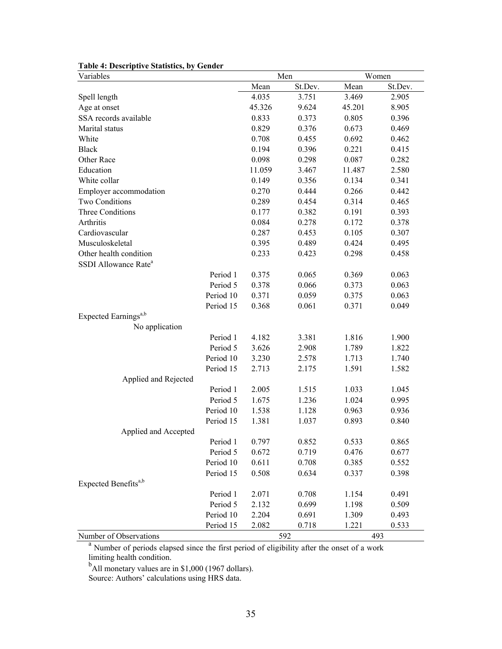| Variables                                                                                 |        | Men     |        | Women   |
|-------------------------------------------------------------------------------------------|--------|---------|--------|---------|
|                                                                                           | Mean   | St.Dev. | Mean   | St.Dev. |
| Spell length                                                                              | 4.035  | 3.751   | 3.469  | 2.905   |
| Age at onset                                                                              | 45.326 | 9.624   | 45.201 | 8.905   |
| SSA records available                                                                     | 0.833  | 0.373   | 0.805  | 0.396   |
| Marital status                                                                            | 0.829  | 0.376   | 0.673  | 0.469   |
| White                                                                                     | 0.708  | 0.455   | 0.692  | 0.462   |
| <b>Black</b>                                                                              | 0.194  | 0.396   | 0.221  | 0.415   |
| Other Race                                                                                | 0.098  | 0.298   | 0.087  | 0.282   |
| Education                                                                                 | 11.059 | 3.467   | 11.487 | 2.580   |
| White collar                                                                              | 0.149  | 0.356   | 0.134  | 0.341   |
| Employer accommodation                                                                    | 0.270  | 0.444   | 0.266  | 0.442   |
| Two Conditions                                                                            | 0.289  | 0.454   | 0.314  | 0.465   |
| Three Conditions                                                                          | 0.177  | 0.382   | 0.191  | 0.393   |
| Arthritis                                                                                 | 0.084  | 0.278   | 0.172  | 0.378   |
| Cardiovascular                                                                            | 0.287  | 0.453   | 0.105  | 0.307   |
| Musculoskeletal                                                                           | 0.395  | 0.489   | 0.424  | 0.495   |
| Other health condition                                                                    | 0.233  | 0.423   | 0.298  | 0.458   |
| SSDI Allowance Rate <sup>a</sup>                                                          |        |         |        |         |
| Period 1                                                                                  | 0.375  | 0.065   | 0.369  | 0.063   |
| Period 5                                                                                  | 0.378  | 0.066   | 0.373  | 0.063   |
| Period 10                                                                                 | 0.371  | 0.059   | 0.375  | 0.063   |
| Period 15                                                                                 | 0.368  | 0.061   | 0.371  | 0.049   |
| Expected Earnings <sup>a,b</sup>                                                          |        |         |        |         |
| No application                                                                            |        |         |        |         |
| Period 1                                                                                  | 4.182  | 3.381   | 1.816  | 1.900   |
| Period 5                                                                                  | 3.626  | 2.908   | 1.789  | 1.822   |
| Period 10                                                                                 | 3.230  | 2.578   | 1.713  | 1.740   |
| Period 15                                                                                 | 2.713  | 2.175   | 1.591  | 1.582   |
| Applied and Rejected                                                                      |        |         |        |         |
| Period 1                                                                                  | 2.005  | 1.515   | 1.033  | 1.045   |
| Period 5                                                                                  | 1.675  | 1.236   | 1.024  | 0.995   |
| Period 10                                                                                 | 1.538  | 1.128   | 0.963  | 0.936   |
| Period 15                                                                                 | 1.381  | 1.037   | 0.893  | 0.840   |
| Applied and Accepted                                                                      |        |         |        |         |
| Period 1                                                                                  | 0.797  | 0.852   | 0.533  | 0.865   |
| Period 5                                                                                  | 0.672  | 0.719   | 0.476  | 0.677   |
| Period 10                                                                                 | 0.611  | 0.708   | 0.385  | 0.552   |
| Period 15                                                                                 | 0.508  | 0.634   | 0.337  | 0.398   |
| Expected Benefits <sup>a,b</sup>                                                          |        |         |        |         |
| Period 1                                                                                  | 2.071  | 0.708   | 1.154  | 0.491   |
| Period 5                                                                                  | 2.132  | 0.699   | 1.198  | 0.509   |
| Period 10                                                                                 | 2.204  | 0.691   | 1.309  | 0.493   |
| Period 15                                                                                 | 2.082  | 0.718   | 1.221  | 0.533   |
| Number of Observations                                                                    |        | 592     |        | 493     |
| Number of periods elapsed since the first period of eligibility after the onset of a work |        |         |        |         |

#### **Table 4: Descriptive Statistics, by Gender**

limiting health condition.<br><sup>b</sup>All monetary values are in \$1,000 (1967 dollars).

Source: Authors' calculations using HRS data.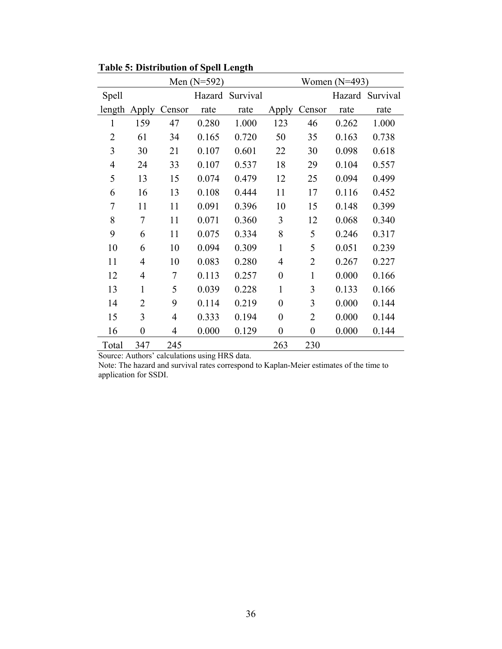|                | Men $(N=592)$    |        |       |                 |                  |                  | Women $(N=493)$ |                 |
|----------------|------------------|--------|-------|-----------------|------------------|------------------|-----------------|-----------------|
| Spell          |                  |        |       | Hazard Survival |                  |                  |                 | Hazard Survival |
| length         | Apply            | Censor | rate  | rate            | Apply            | Censor           | rate            | rate            |
| 1              | 159              | 47     | 0.280 | 1.000           | 123              | 46               | 0.262           | 1.000           |
| $\overline{2}$ | 61               | 34     | 0.165 | 0.720           | 50               | 35               | 0.163           | 0.738           |
| 3              | 30               | 21     | 0.107 | 0.601           | 22               | 30               | 0.098           | 0.618           |
| $\overline{4}$ | 24               | 33     | 0.107 | 0.537           | 18               | 29               | 0.104           | 0.557           |
| 5              | 13               | 15     | 0.074 | 0.479           | 12               | 25               | 0.094           | 0.499           |
| 6              | 16               | 13     | 0.108 | 0.444           | 11               | 17               | 0.116           | 0.452           |
| 7              | 11               | 11     | 0.091 | 0.396           | 10               | 15               | 0.148           | 0.399           |
| 8              | 7                | 11     | 0.071 | 0.360           | 3                | 12               | 0.068           | 0.340           |
| 9              | 6                | 11     | 0.075 | 0.334           | 8                | 5                | 0.246           | 0.317           |
| 10             | 6                | 10     | 0.094 | 0.309           | 1                | 5                | 0.051           | 0.239           |
| 11             | 4                | 10     | 0.083 | 0.280           | 4                | 2                | 0.267           | 0.227           |
| 12             | 4                | 7      | 0.113 | 0.257           | $\theta$         | $\mathbf{1}$     | 0.000           | 0.166           |
| 13             | 1                | 5      | 0.039 | 0.228           | $\mathbf{1}$     | 3                | 0.133           | 0.166           |
| 14             | 2                | 9      | 0.114 | 0.219           | $\boldsymbol{0}$ | 3                | 0.000           | 0.144           |
| 15             | 3                | 4      | 0.333 | 0.194           | $\boldsymbol{0}$ | 2                | 0.000           | 0.144           |
| 16             | $\boldsymbol{0}$ | 4      | 0.000 | 0.129           | $\boldsymbol{0}$ | $\boldsymbol{0}$ | 0.000           | 0.144           |
| Total          | 347              | 245    |       |                 | 263              | 230              |                 |                 |

**Table 5: Distribution of Spell Length** 

Source: Authors' calculations using HRS data.

Note: The hazard and survival rates correspond to Kaplan-Meier estimates of the time to application for SSDI.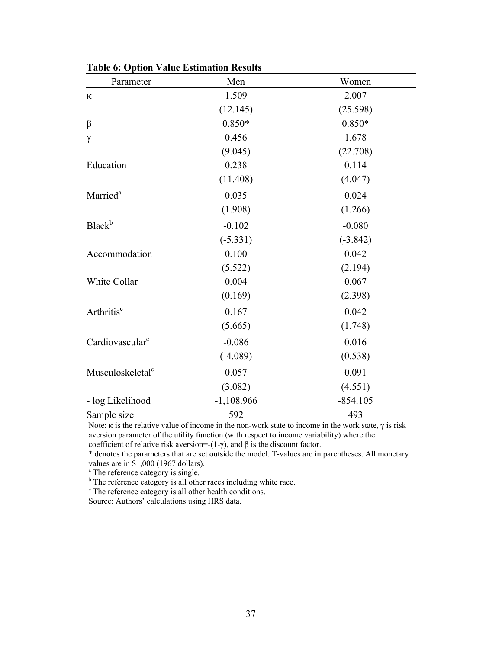| Parameter                    | Men          | Women      |
|------------------------------|--------------|------------|
| К                            | 1.509        | 2.007      |
|                              | (12.145)     | (25.598)   |
| $\beta$                      | $0.850*$     | $0.850*$   |
| $\gamma$                     | 0.456        | 1.678      |
|                              | (9.045)      | (22.708)   |
| Education                    | 0.238        | 0.114      |
|                              | (11.408)     | (4.047)    |
| Married <sup>a</sup>         | 0.035        | 0.024      |
|                              | (1.908)      | (1.266)    |
| Black <sup>b</sup>           | $-0.102$     | $-0.080$   |
|                              | $(-5.331)$   | $(-3.842)$ |
| Accommodation                | 0.100        | 0.042      |
|                              | (5.522)      | (2.194)    |
| White Collar                 | 0.004        | 0.067      |
|                              | (0.169)      | (2.398)    |
| Arthritis <sup>c</sup>       | 0.167        | 0.042      |
|                              | (5.665)      | (1.748)    |
| Cardiovascular <sup>c</sup>  | $-0.086$     | 0.016      |
|                              | $(-4.089)$   | (0.538)    |
| Musculoskeletal <sup>c</sup> | 0.057        | 0.091      |
|                              | (3.082)      | (4.551)    |
| - log Likelihood             | $-1,108.966$ | $-854.105$ |
| Sample size                  | 592          | 493        |

**Table 6: Option Value Estimation Results**

Note: κ is the relative value of income in the non-work state to income in the work state,  $γ$  is risk aversion parameter of the utility function (with respect to income variability) where the

coefficient of relative risk aversion=-(1-γ), and  $\beta$  is the discount factor.

\* denotes the parameters that are set outside the model. T-values are in parentheses. All monetary values are in \$1,000 (1967 dollars).

<sup>a</sup> The reference category is single.

<sup>b</sup> The reference category is all other races including white race.

<sup>c</sup> The reference category is all other health conditions.

Source: Authors' calculations using HRS data.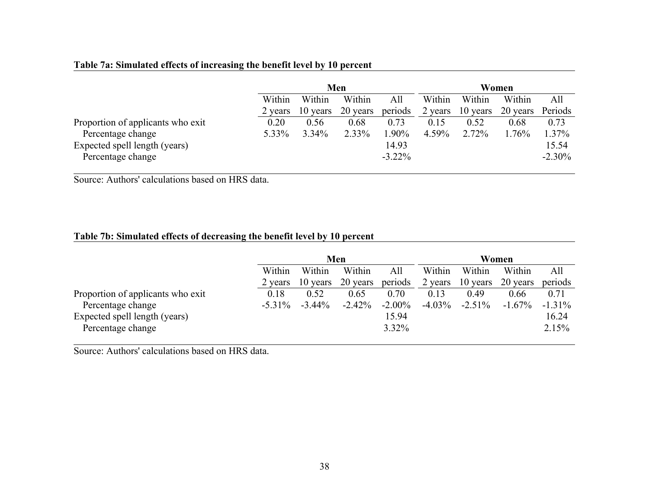#### **Table 7a: Simulated effects of increasing the benefit level by 10 percent**

|                                   | Men     |          |          |           |         |          | Women    |           |
|-----------------------------------|---------|----------|----------|-----------|---------|----------|----------|-----------|
|                                   | Within  | Within   | Within   | All       | Within  | Within   | Within   | All       |
|                                   | 2 years | 10 years | 20 years | periods   | 2 years | 10 years | 20 years | Periods   |
| Proportion of applicants who exit | 0.20    | 0.56     | 0.68     | 0.73      | 0.15    | 0.52     | 0.68     | 0.73      |
| Percentage change                 | 5.33%   | $3.34\%$ | 2.33%    | $.90\%$   | 4.59%   | 2.72%    | $1.76\%$ | 1.37%     |
| Expected spell length (years)     |         |          |          | 14.93     |         |          |          | 15.54     |
| Percentage change                 |         |          |          | $-3.22\%$ |         |          |          | $-2.30\%$ |

Source: Authors' calculations based on HRS data.

#### **Table 7b: Simulated effects of decreasing the benefit level by 10 percent**

|                                   |           | Men       |           |           |           | Women     |           |           |  |
|-----------------------------------|-----------|-----------|-----------|-----------|-----------|-----------|-----------|-----------|--|
|                                   | Within    | Within    | Within    | All       | Within    | Within    | Within    | All       |  |
|                                   | 2 years   | 10 years  | 20 years  | periods   | 2 years   | 10 years  | 20 years  | periods   |  |
| Proportion of applicants who exit | 0.18      | 0.52      | 0.65      | 0.70      | 0.13      | 0.49      | 0.66      | 0.71      |  |
| Percentage change                 | $-5.31\%$ | $-3.44\%$ | $-2.42\%$ | $-2.00\%$ | $-4.03\%$ | $-2.51\%$ | $-1.67\%$ | $-1.31\%$ |  |
| Expected spell length (years)     |           |           |           | 15.94     |           |           |           | 16.24     |  |
| Percentage change                 |           |           |           | 3.32%     |           |           |           | 2.15%     |  |

Source: Authors' calculations based on HRS data.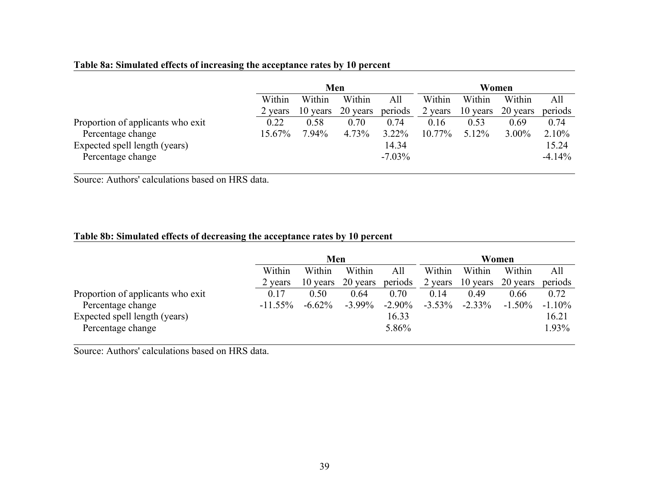#### **Table 8a: Simulated effects of increasing the acceptance rates by 10 percent**

|                                   |         | Men      |          |           |           |          | Women    |          |
|-----------------------------------|---------|----------|----------|-----------|-----------|----------|----------|----------|
|                                   | Within  | Within   | Within   | All       | Within    | Within   | Within   | All      |
|                                   | 2 years | 10 years | 20 years | periods   | 2 years   | 10 years | 20 years | periods  |
| Proportion of applicants who exit | 0.22    | 0.58     | 0.70     | 0.74      | 0.16      | 0.53     | 0.69     | 0.74     |
| Percentage change                 | 15.67%  | 7.94%    | 4.73%    | 3.22%     | $10.77\%$ | $5.12\%$ | $3.00\%$ | 2.10%    |
| Expected spell length (years)     |         |          |          | 14.34     |           |          |          | 15.24    |
| Percentage change                 |         |          |          | $-7.03\%$ |           |          |          | $-4.14%$ |

Source: Authors' calculations based on HRS data.

#### **Table 8b: Simulated effects of decreasing the acceptance rates by 10 percent**

|                                   |            | Men       |           |           |           |           | Women     |           |
|-----------------------------------|------------|-----------|-----------|-----------|-----------|-----------|-----------|-----------|
|                                   | Within     | Within    | Within    | All       | Within    | Within    | Within    | All       |
|                                   | 2 years    | 10 years  | 20 years  | periods   | 2 years   | 10 years  | 20 years  | periods   |
| Proportion of applicants who exit | 0.17       | 0.50      | 0.64      | 0.70      | 0.14      | 0.49      | 0.66      | 0.72      |
| Percentage change                 | $-11.55\%$ | $-6.62\%$ | $-3.99\%$ | $-2.90\%$ | $-3.53\%$ | $-2.33\%$ | $-1.50\%$ | $-1.10\%$ |
| Expected spell length (years)     |            |           |           | 16.33     |           |           |           | 16.21     |
| Percentage change                 |            |           |           | 5.86%     |           |           |           | 1.93%     |

Source: Authors' calculations based on HRS data.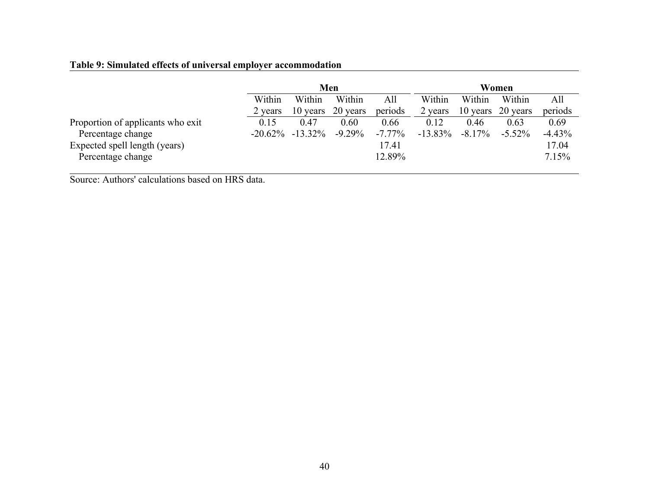#### **Table 9: Simulated effects of universal employer accommodation**

|                                   | Men        |            |           |           |            |           | Women     |          |
|-----------------------------------|------------|------------|-----------|-----------|------------|-----------|-----------|----------|
|                                   | Within     | Within     | Within    | All       | Within     | Within    | Within    | All      |
|                                   | 2 years    | 10 years   | 20 years  | periods   | 2 years    | 10 years  | 20 years  | periods  |
| Proportion of applicants who exit | 0.15       | 0.47       | 0.60      | 0.66      | 0.12       | 0.46      | 0.63      | 0.69     |
| Percentage change                 | $-20.62\%$ | $-13.32\%$ | $-9.29\%$ | $-7.77\%$ | $-13.83\%$ | $-8.17\%$ | $-5.52\%$ | $-4.43%$ |
| Expected spell length (years)     |            |            |           | 17.41     |            |           |           | 17.04    |
| Percentage change                 |            |            |           | 12.89%    |            |           |           | 7.15%    |

Source: Authors' calculations based on HRS data.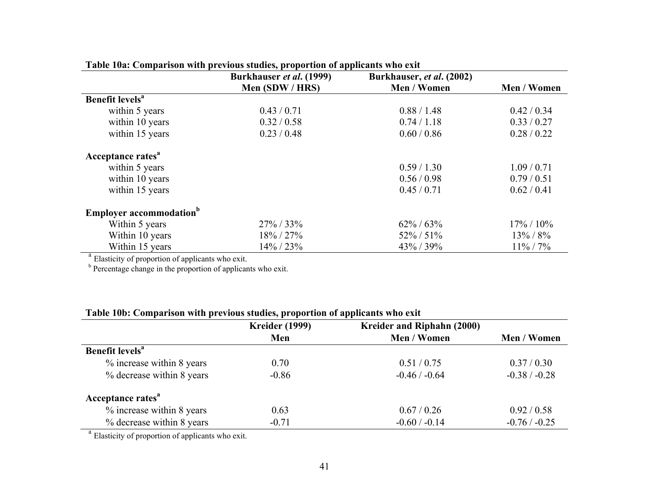|                                                               | Table Toal Comparison with previous studies, proportion of applicants who exit<br>Burkhauser et al. (1999) | Burkhauser, et al. (2002) |               |  |
|---------------------------------------------------------------|------------------------------------------------------------------------------------------------------------|---------------------------|---------------|--|
|                                                               | Men (SDW / HRS)                                                                                            | Men / Women               | Men / Women   |  |
| Benefit levels <sup>a</sup>                                   |                                                                                                            |                           |               |  |
| within 5 years                                                | 0.43/0.71                                                                                                  | 0.88 / 1.48               | 0.42 / 0.34   |  |
| within 10 years                                               | 0.32 / 0.58                                                                                                | 0.74/1.18                 | 0.33/0.27     |  |
| within 15 years                                               | 0.23 / 0.48                                                                                                | 0.60 / 0.86               | 0.28 / 0.22   |  |
| Acceptance rates <sup>a</sup>                                 |                                                                                                            |                           |               |  |
| within 5 years                                                |                                                                                                            | 0.59/1.30                 | 1.09/0.71     |  |
| within 10 years                                               |                                                                                                            | 0.56/0.98                 | 0.79/0.51     |  |
| within 15 years                                               |                                                                                                            | 0.45/0.71                 | 0.62 / 0.41   |  |
| <b>Employer accommodation</b> <sup>b</sup>                    |                                                                                                            |                           |               |  |
| Within 5 years                                                | $27\% / 33\%$                                                                                              | $62\% / 63\%$             | $17\% / 10\%$ |  |
| Within 10 years                                               | 18% / 27%                                                                                                  | $52\% / 51\%$             | $13\% / 8\%$  |  |
| Within 15 years                                               | 14% / 23%                                                                                                  | 43% / 39%                 | $11\% / 7\%$  |  |
| <sup>a</sup> Elasticity of proportion of applicants who exit. |                                                                                                            |                           |               |  |

**Table 10a: Comparison with previous studies, proportion of applicants who exit** 

<sup>b</sup> Percentage change in the proportion of applicants who exit.

| Table 10b: Comparison with previous studies, proportion of applicants who exit |  |  |  |
|--------------------------------------------------------------------------------|--|--|--|
|--------------------------------------------------------------------------------|--|--|--|

| Men     |                 |                 |
|---------|-----------------|-----------------|
|         | Men / Women     | Men / Women     |
|         |                 |                 |
| 0.70    | 0.51/0.75       | 0.37/0.30       |
| $-0.86$ | $-0.46 / -0.64$ | $-0.38 / -0.28$ |
|         |                 |                 |
| 0.63    | 0.67/0.26       | 0.92 / 0.58     |
| $-0.71$ | $-0.60 / -0.14$ | $-0.76 / -0.25$ |
|         |                 |                 |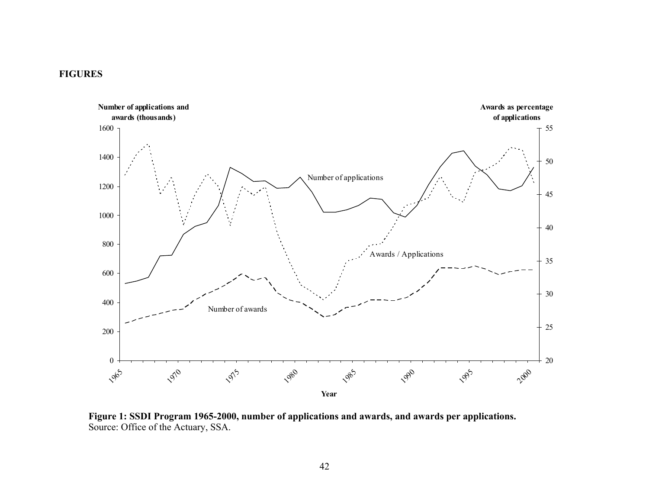#### **FIGURES**



**Figure 1: SSDI Program 1965-2000, number of applications and awards, and awards per applications.**  Source: Office of the Actuary, SSA.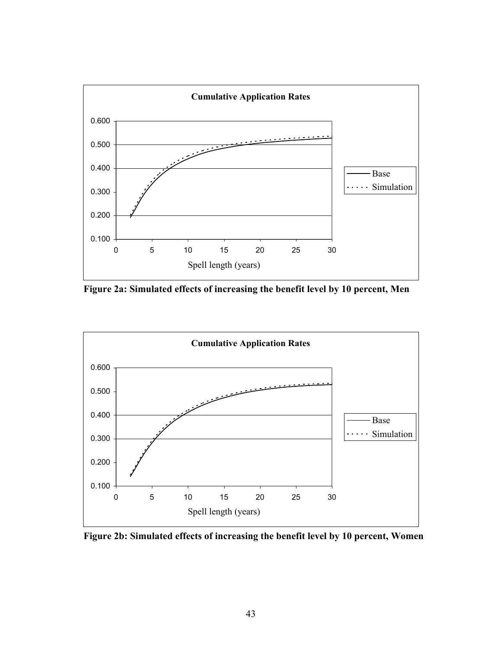

**Figure 2a: Simulated effects of increasing the benefit level by 10 percent, Men** 



**Figure 2b: Simulated effects of increasing the benefit level by 10 percent, Women**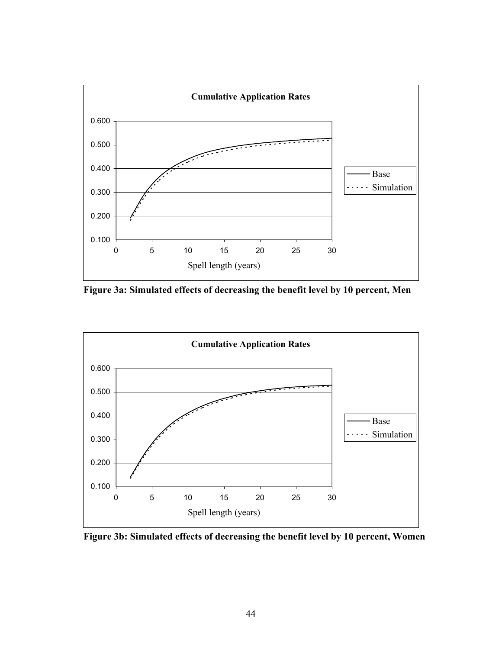

**Figure 3a: Simulated effects of decreasing the benefit level by 10 percent, Men** 



**Figure 3b: Simulated effects of decreasing the benefit level by 10 percent, Women**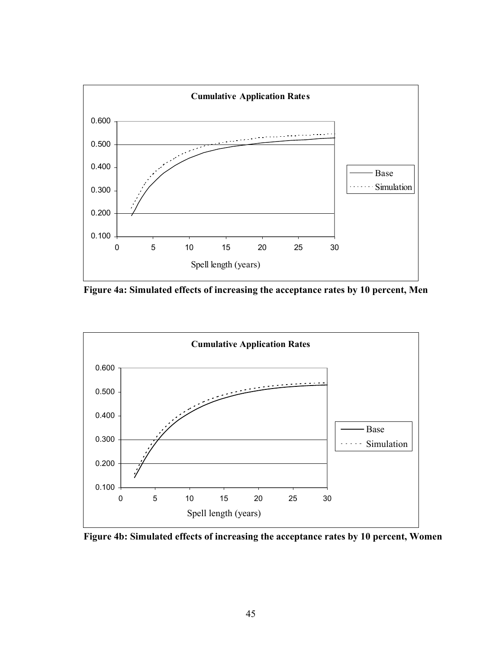

**Figure 4a: Simulated effects of increasing the acceptance rates by 10 percent, Men** 



**Figure 4b: Simulated effects of increasing the acceptance rates by 10 percent, Women**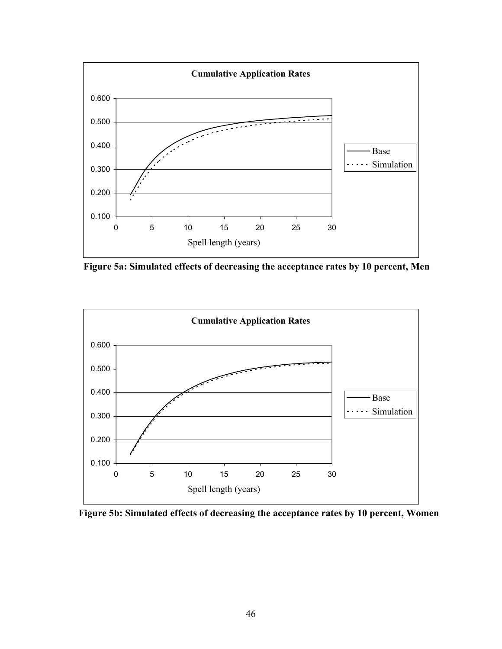

**Figure 5a: Simulated effects of decreasing the acceptance rates by 10 percent, Men** 



**Figure 5b: Simulated effects of decreasing the acceptance rates by 10 percent, Women**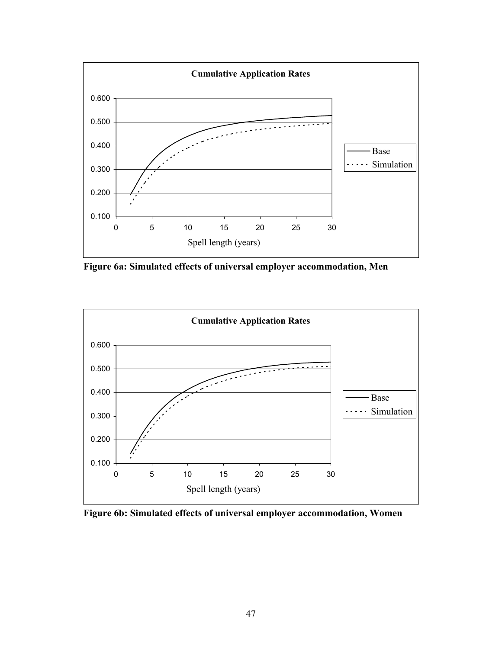

**Figure 6a: Simulated effects of universal employer accommodation, Men** 



**Figure 6b: Simulated effects of universal employer accommodation, Women**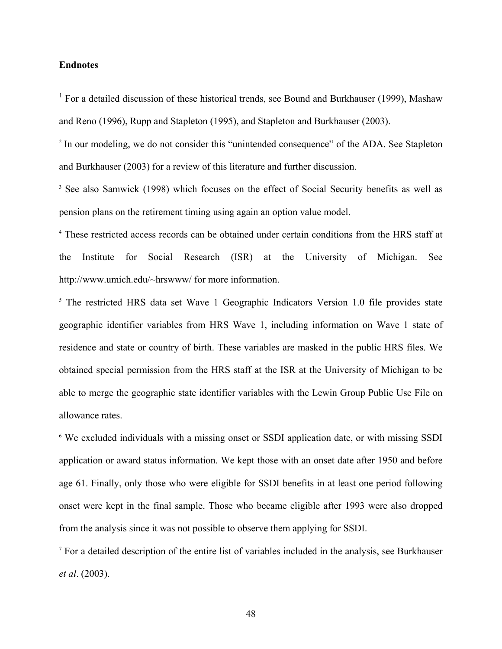#### **Endnotes**

<sup>1</sup> For a detailed discussion of these historical trends, see Bound and Burkhauser (1999), Mashaw and Reno (1996), Rupp and Stapleton (1995), and Stapleton and Burkhauser (2003).

<sup>2</sup> In our modeling, we do not consider this "unintended consequence" of the ADA. See Stapleton and Burkhauser (2003) for a review of this literature and further discussion.

<sup>3</sup> See also Samwick (1998) which focuses on the effect of Social Security benefits as well as pension plans on the retirement timing using again an option value model.

4 These restricted access records can be obtained under certain conditions from the HRS staff at the Institute for Social Research (ISR) at the University of Michigan. See http://www.umich.edu/~hrswww/ for more information.

<sup>5</sup> The restricted HRS data set Wave 1 Geographic Indicators Version 1.0 file provides state geographic identifier variables from HRS Wave 1, including information on Wave 1 state of residence and state or country of birth. These variables are masked in the public HRS files. We obtained special permission from the HRS staff at the ISR at the University of Michigan to be able to merge the geographic state identifier variables with the Lewin Group Public Use File on allowance rates.

<sup>6</sup> We excluded individuals with a missing onset or SSDI application date, or with missing SSDI application or award status information. We kept those with an onset date after 1950 and before age 61. Finally, only those who were eligible for SSDI benefits in at least one period following onset were kept in the final sample. Those who became eligible after 1993 were also dropped from the analysis since it was not possible to observe them applying for SSDI.

7 For a detailed description of the entire list of variables included in the analysis, see Burkhauser *et al*. (2003).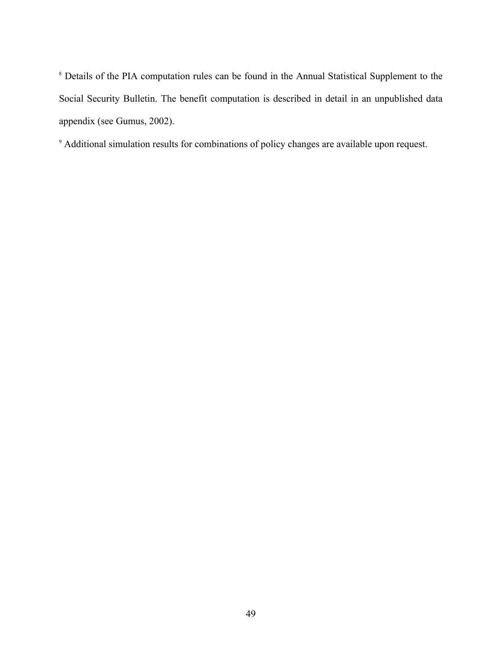<sup>8</sup> Details of the PIA computation rules can be found in the Annual Statistical Supplement to the Social Security Bulletin. The benefit computation is described in detail in an unpublished data appendix (see Gumus, 2002).

9 Additional simulation results for combinations of policy changes are available upon request.